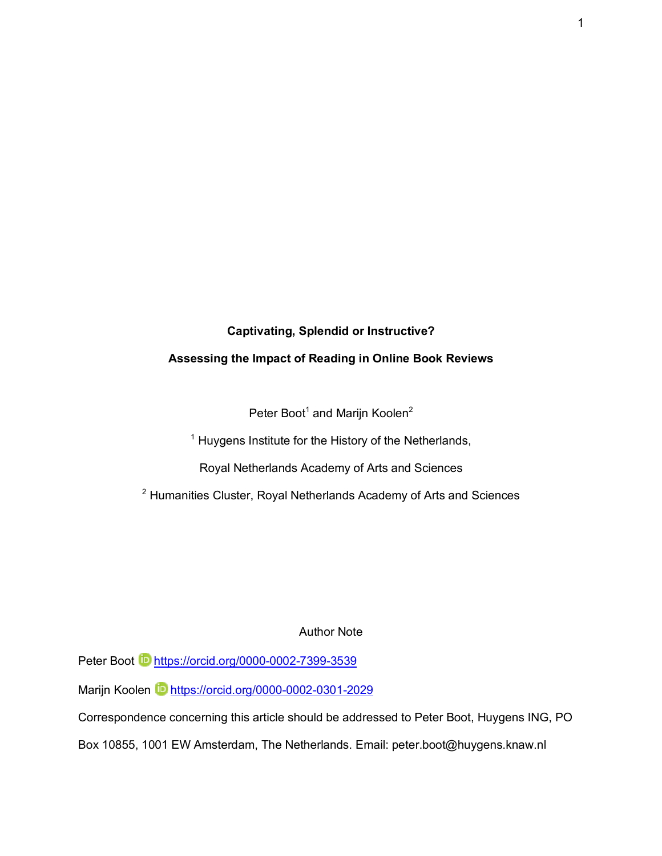## **Captivating, Splendid or Instructive?**

## **Assessing the Impact of Reading in Online Book Reviews**

Peter Boot<sup>1</sup> and Marijn Koolen<sup>2</sup>

<sup>1</sup> Huygens Institute for the History of the Netherlands,

Royal Netherlands Academy of Arts and Sciences

<sup>2</sup> Humanities Cluster, Royal Netherlands Academy of Arts and Sciences

## Author Note

Peter Boot **b** https://orcid.org/0000-0002-7399-3539

Marijn Koolen **in** https://orcid.org/0000-0002-0301-2029

Correspondence concerning this article should be addressed to Peter Boot, Huygens ING, PO

Box 10855, 1001 EW Amsterdam, The Netherlands. Email: peter.boot@huygens.knaw.nl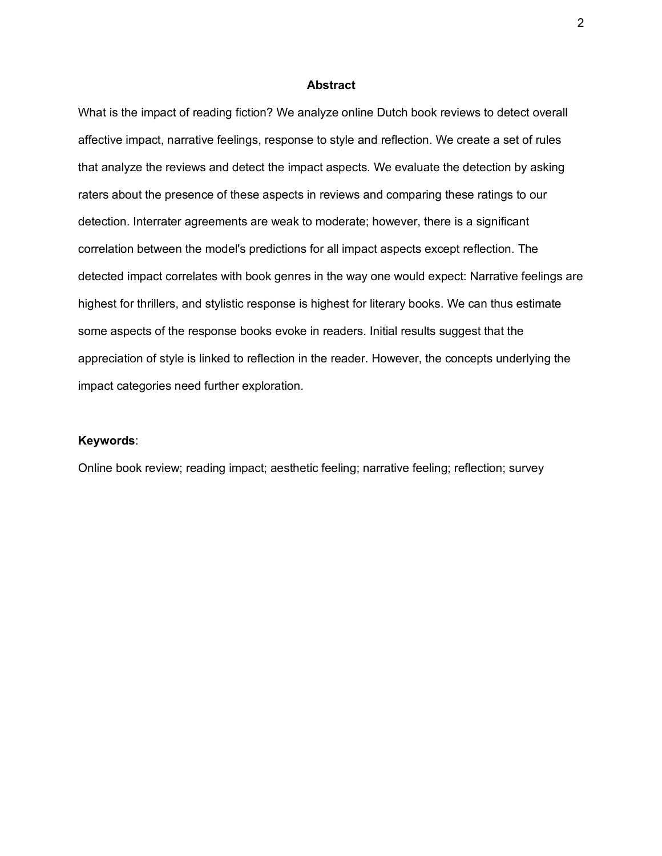#### **Abstract**

What is the impact of reading fiction? We analyze online Dutch book reviews to detect overall affective impact, narrative feelings, response to style and reflection. We create a set of rules that analyze the reviews and detect the impact aspects. We evaluate the detection by asking raters about the presence of these aspects in reviews and comparing these ratings to our detection. Interrater agreements are weak to moderate; however, there is a significant correlation between the model's predictions for all impact aspects except reflection. The detected impact correlates with book genres in the way one would expect: Narrative feelings are highest for thrillers, and stylistic response is highest for literary books. We can thus estimate some aspects of the response books evoke in readers. Initial results suggest that the appreciation of style is linked to reflection in the reader. However, the concepts underlying the impact categories need further exploration.

## **Keywords**:

Online book review; reading impact; aesthetic feeling; narrative feeling; reflection; survey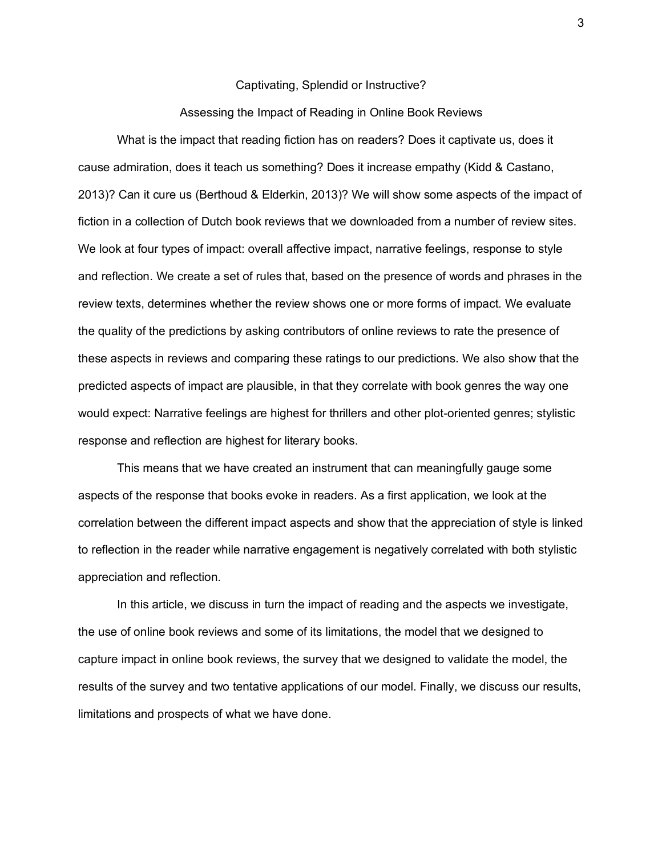#### Captivating, Splendid or Instructive?

## Assessing the Impact of Reading in Online Book Reviews

What is the impact that reading fiction has on readers? Does it captivate us, does it cause admiration, does it teach us something? Does it increase empathy (Kidd & Castano, 2013)? Can it cure us (Berthoud & Elderkin, 2013)? We will show some aspects of the impact of fiction in a collection of Dutch book reviews that we downloaded from a number of review sites. We look at four types of impact: overall affective impact, narrative feelings, response to style and reflection. We create a set of rules that, based on the presence of words and phrases in the review texts, determines whether the review shows one or more forms of impact. We evaluate the quality of the predictions by asking contributors of online reviews to rate the presence of these aspects in reviews and comparing these ratings to our predictions. We also show that the predicted aspects of impact are plausible, in that they correlate with book genres the way one would expect: Narrative feelings are highest for thrillers and other plot-oriented genres; stylistic response and reflection are highest for literary books.

This means that we have created an instrument that can meaningfully gauge some aspects of the response that books evoke in readers. As a first application, we look at the correlation between the different impact aspects and show that the appreciation of style is linked to reflection in the reader while narrative engagement is negatively correlated with both stylistic appreciation and reflection.

In this article, we discuss in turn the impact of reading and the aspects we investigate, the use of online book reviews and some of its limitations, the model that we designed to capture impact in online book reviews, the survey that we designed to validate the model, the results of the survey and two tentative applications of our model. Finally, we discuss our results, limitations and prospects of what we have done.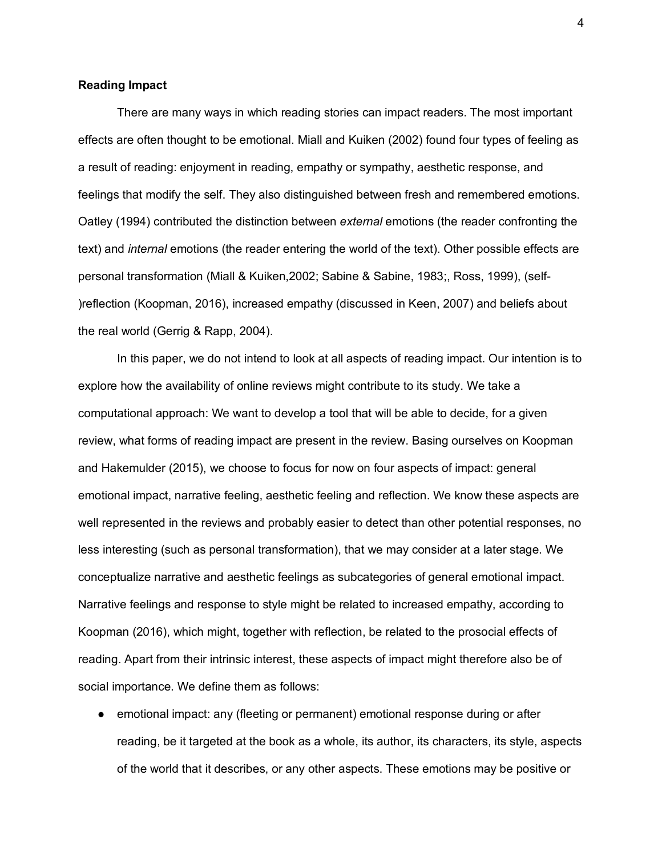#### **Reading Impact**

There are many ways in which reading stories can impact readers. The most important effects are often thought to be emotional. Miall and Kuiken (2002) found four types of feeling as a result of reading: enjoyment in reading, empathy or sympathy, aesthetic response, and feelings that modify the self. They also distinguished between fresh and remembered emotions. Oatley (1994) contributed the distinction between *external* emotions (the reader confronting the text) and *internal* emotions (the reader entering the world of the text). Other possible effects are personal transformation (Miall & Kuiken,2002; Sabine & Sabine, 1983;, Ross, 1999), (self- )reflection (Koopman, 2016), increased empathy (discussed in Keen, 2007) and beliefs about the real world (Gerrig & Rapp, 2004).

In this paper, we do not intend to look at all aspects of reading impact. Our intention is to explore how the availability of online reviews might contribute to its study. We take a computational approach: We want to develop a tool that will be able to decide, for a given review, what forms of reading impact are present in the review. Basing ourselves on Koopman and Hakemulder (2015), we choose to focus for now on four aspects of impact: general emotional impact, narrative feeling, aesthetic feeling and reflection. We know these aspects are well represented in the reviews and probably easier to detect than other potential responses, no less interesting (such as personal transformation), that we may consider at a later stage. We conceptualize narrative and aesthetic feelings as subcategories of general emotional impact. Narrative feelings and response to style might be related to increased empathy, according to Koopman (2016), which might, together with reflection, be related to the prosocial effects of reading. Apart from their intrinsic interest, these aspects of impact might therefore also be of social importance. We define them as follows:

● emotional impact: any (fleeting or permanent) emotional response during or after reading, be it targeted at the book as a whole, its author, its characters, its style, aspects of the world that it describes, or any other aspects. These emotions may be positive or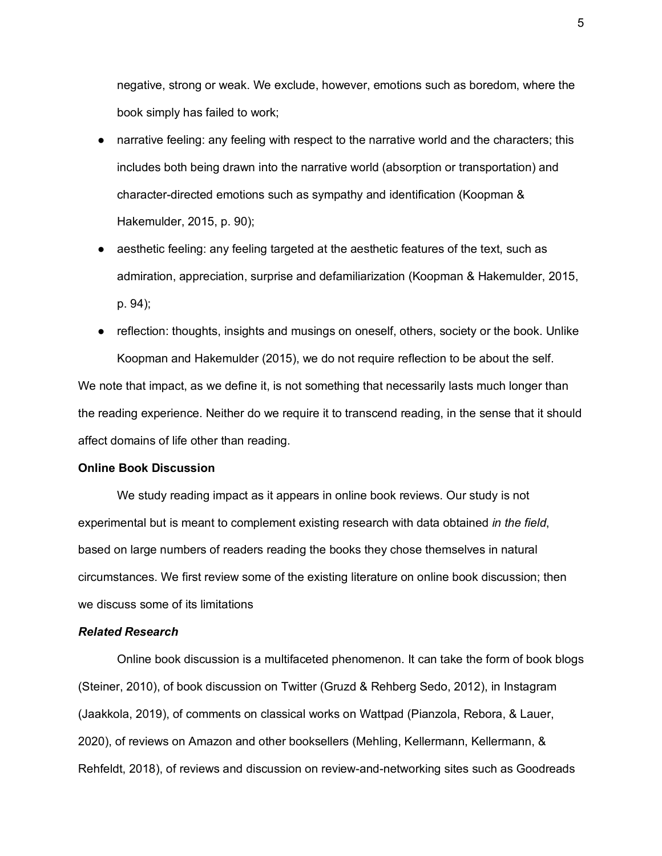negative, strong or weak. We exclude, however, emotions such as boredom, where the book simply has failed to work;

- harrative feeling: any feeling with respect to the narrative world and the characters; this includes both being drawn into the narrative world (absorption or transportation) and character-directed emotions such as sympathy and identification (Koopman & Hakemulder, 2015, p. 90);
- aesthetic feeling: any feeling targeted at the aesthetic features of the text, such as admiration, appreciation, surprise and defamiliarization (Koopman & Hakemulder, 2015, p. 94);
- reflection: thoughts, insights and musings on oneself, others, society or the book. Unlike Koopman and Hakemulder (2015), we do not require reflection to be about the self.

We note that impact, as we define it, is not something that necessarily lasts much longer than the reading experience. Neither do we require it to transcend reading, in the sense that it should affect domains of life other than reading.

## **Online Book Discussion**

We study reading impact as it appears in online book reviews. Our study is not experimental but is meant to complement existing research with data obtained *in the field*, based on large numbers of readers reading the books they chose themselves in natural circumstances. We first review some of the existing literature on online book discussion; then we discuss some of its limitations

### *Related Research*

Online book discussion is a multifaceted phenomenon. It can take the form of book blogs (Steiner, 2010), of book discussion on Twitter (Gruzd & Rehberg Sedo, 2012), in Instagram (Jaakkola, 2019), of comments on classical works on Wattpad (Pianzola, Rebora, & Lauer, 2020), of reviews on Amazon and other booksellers (Mehling, Kellermann, Kellermann, & Rehfeldt, 2018), of reviews and discussion on review-and-networking sites such as Goodreads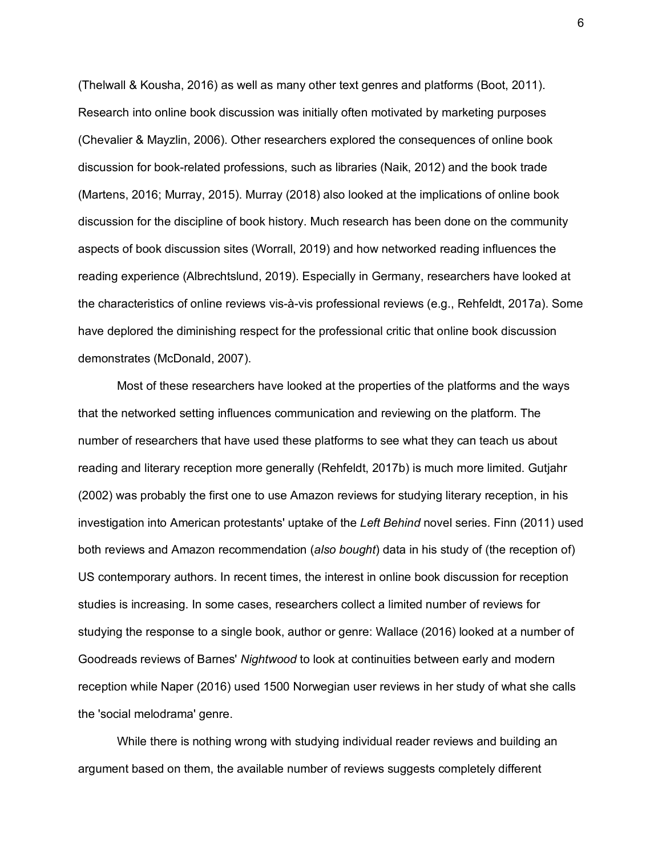(Thelwall & Kousha, 2016) as well as many other text genres and platforms (Boot, 2011). Research into online book discussion was initially often motivated by marketing purposes (Chevalier & Mayzlin, 2006). Other researchers explored the consequences of online book discussion for book-related professions, such as libraries (Naik, 2012) and the book trade (Martens, 2016; Murray, 2015). Murray (2018) also looked at the implications of online book discussion for the discipline of book history. Much research has been done on the community aspects of book discussion sites (Worrall, 2019) and how networked reading influences the reading experience (Albrechtslund, 2019). Especially in Germany, researchers have looked at the characteristics of online reviews vis-à-vis professional reviews (e.g., Rehfeldt, 2017a). Some have deplored the diminishing respect for the professional critic that online book discussion demonstrates (McDonald, 2007).

Most of these researchers have looked at the properties of the platforms and the ways that the networked setting influences communication and reviewing on the platform. The number of researchers that have used these platforms to see what they can teach us about reading and literary reception more generally (Rehfeldt, 2017b) is much more limited. Gutjahr (2002) was probably the first one to use Amazon reviews for studying literary reception, in his investigation into American protestants' uptake of the *Left Behind* novel series. Finn (2011) used both reviews and Amazon recommendation (*also bought*) data in his study of (the reception of) US contemporary authors. In recent times, the interest in online book discussion for reception studies is increasing. In some cases, researchers collect a limited number of reviews for studying the response to a single book, author or genre: Wallace (2016) looked at a number of Goodreads reviews of Barnes' *Nightwood* to look at continuities between early and modern reception while Naper (2016) used 1500 Norwegian user reviews in her study of what she calls the 'social melodrama' genre.

While there is nothing wrong with studying individual reader reviews and building an argument based on them, the available number of reviews suggests completely different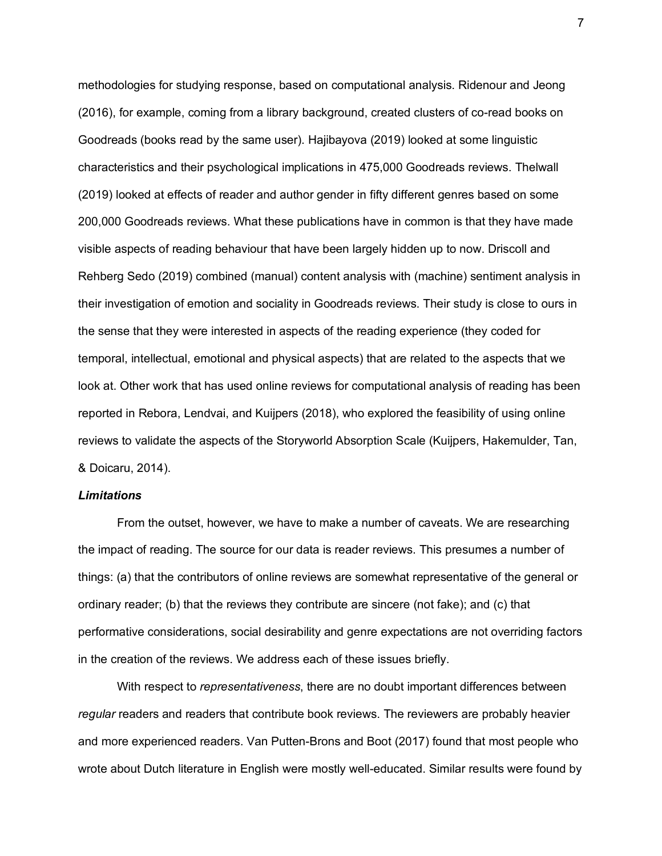methodologies for studying response, based on computational analysis. Ridenour and Jeong (2016), for example, coming from a library background, created clusters of co-read books on Goodreads (books read by the same user). Hajibayova (2019) looked at some linguistic characteristics and their psychological implications in 475,000 Goodreads reviews. Thelwall (2019) looked at effects of reader and author gender in fifty different genres based on some 200,000 Goodreads reviews. What these publications have in common is that they have made visible aspects of reading behaviour that have been largely hidden up to now. Driscoll and Rehberg Sedo (2019) combined (manual) content analysis with (machine) sentiment analysis in their investigation of emotion and sociality in Goodreads reviews. Their study is close to ours in the sense that they were interested in aspects of the reading experience (they coded for temporal, intellectual, emotional and physical aspects) that are related to the aspects that we look at. Other work that has used online reviews for computational analysis of reading has been reported in Rebora, Lendvai, and Kuijpers (2018), who explored the feasibility of using online reviews to validate the aspects of the Storyworld Absorption Scale (Kuijpers, Hakemulder, Tan, & Doicaru, 2014).

## *Limitations*

From the outset, however, we have to make a number of caveats. We are researching the impact of reading. The source for our data is reader reviews. This presumes a number of things: (a) that the contributors of online reviews are somewhat representative of the general or ordinary reader; (b) that the reviews they contribute are sincere (not fake); and (c) that performative considerations, social desirability and genre expectations are not overriding factors in the creation of the reviews. We address each of these issues briefly.

With respect to *representativeness*, there are no doubt important differences between *regular* readers and readers that contribute book reviews. The reviewers are probably heavier and more experienced readers. Van Putten-Brons and Boot (2017) found that most people who wrote about Dutch literature in English were mostly well-educated. Similar results were found by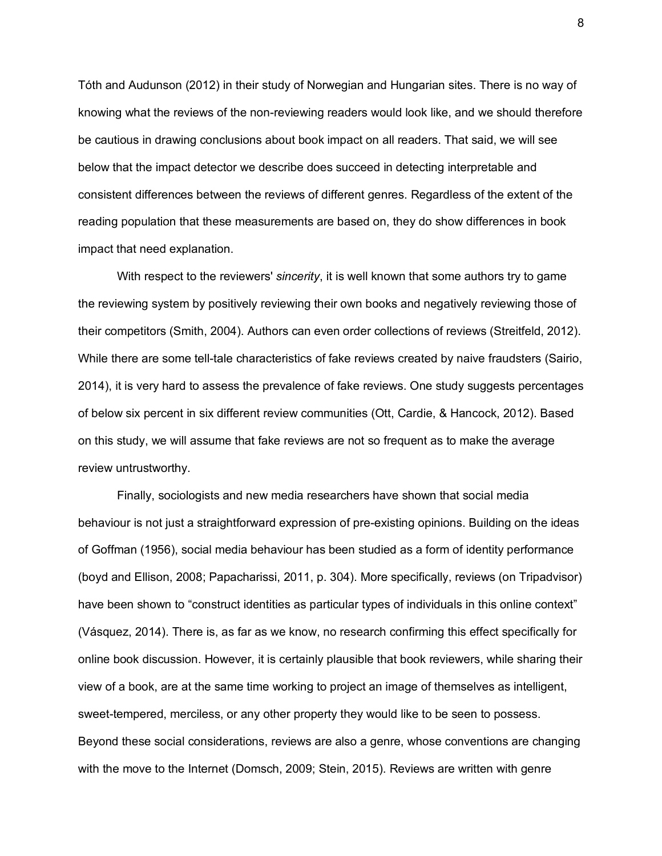Tóth and Audunson (2012) in their study of Norwegian and Hungarian sites. There is no way of knowing what the reviews of the non-reviewing readers would look like, and we should therefore be cautious in drawing conclusions about book impact on all readers. That said, we will see below that the impact detector we describe does succeed in detecting interpretable and consistent differences between the reviews of different genres. Regardless of the extent of the reading population that these measurements are based on, they do show differences in book impact that need explanation.

With respect to the reviewers' *sincerity*, it is well known that some authors try to game the reviewing system by positively reviewing their own books and negatively reviewing those of their competitors (Smith, 2004). Authors can even order collections of reviews (Streitfeld, 2012). While there are some tell-tale characteristics of fake reviews created by naive fraudsters (Sairio, 2014), it is very hard to assess the prevalence of fake reviews. One study suggests percentages of below six percent in six different review communities (Ott, Cardie, & Hancock, 2012). Based on this study, we will assume that fake reviews are not so frequent as to make the average review untrustworthy.

Finally, sociologists and new media researchers have shown that social media behaviour is not just a straightforward expression of pre-existing opinions. Building on the ideas of Goffman (1956), social media behaviour has been studied as a form of identity performance (boyd and Ellison, 2008; Papacharissi, 2011, p. 304). More specifically, reviews (on Tripadvisor) have been shown to "construct identities as particular types of individuals in this online context" (Vásquez, 2014). There is, as far as we know, no research confirming this effect specifically for online book discussion. However, it is certainly plausible that book reviewers, while sharing their view of a book, are at the same time working to project an image of themselves as intelligent, sweet-tempered, merciless, or any other property they would like to be seen to possess. Beyond these social considerations, reviews are also a genre, whose conventions are changing with the move to the Internet (Domsch, 2009; Stein, 2015). Reviews are written with genre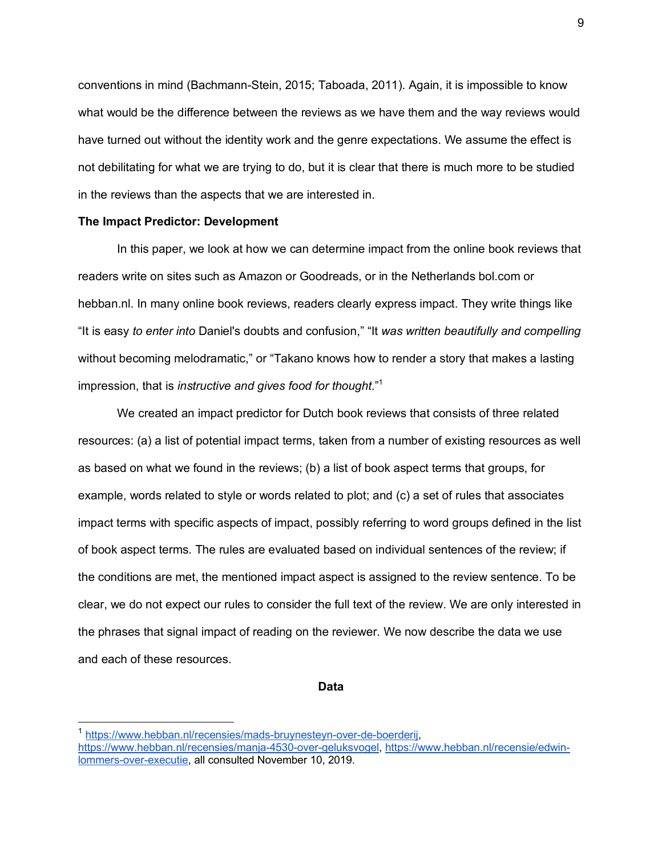conventions in mind (Bachmann-Stein, 2015; Taboada, 2011). Again, it is impossible to know what would be the difference between the reviews as we have them and the way reviews would have turned out without the identity work and the genre expectations. We assume the effect is not debilitating for what we are trying to do, but it is clear that there is much more to be studied in the reviews than the aspects that we are interested in.

#### **The Impact Predictor: Development**

In this paper, we look at how we can determine impact from the online book reviews that readers write on sites such as Amazon or Goodreads, or in the Netherlands bol.com or hebban.nl. In many online book reviews, readers clearly express impact. They write things like "It is easy *to enter into* Daniel's doubts and confusion," "It *was written beautifully and compelling* without becoming melodramatic," or "Takano knows how to render a story that makes a lasting impression, that is *instructive and gives food for thought*." 1

We created an impact predictor for Dutch book reviews that consists of three related resources: (a) a list of potential impact terms, taken from a number of existing resources as well as based on what we found in the reviews; (b) a list of book aspect terms that groups, for example, words related to style or words related to plot; and (c) a set of rules that associates impact terms with specific aspects of impact, possibly referring to word groups defined in the list of book aspect terms. The rules are evaluated based on individual sentences of the review; if the conditions are met, the mentioned impact aspect is assigned to the review sentence. To be clear, we do not expect our rules to consider the full text of the review. We are only interested in the phrases that signal impact of reading on the reviewer. We now describe the data we use and each of these resources.

#### **Data**

<sup>&</sup>lt;sup>1</sup> https://www.hebban.nl/recensies/mads-bruynesteyn-over-de-boerderij,

https://www.hebban.nl/recensies/manja-4530-over-geluksvogel, https://www.hebban.nl/recensie/edwinlommers-over-executie, all consulted November 10, 2019.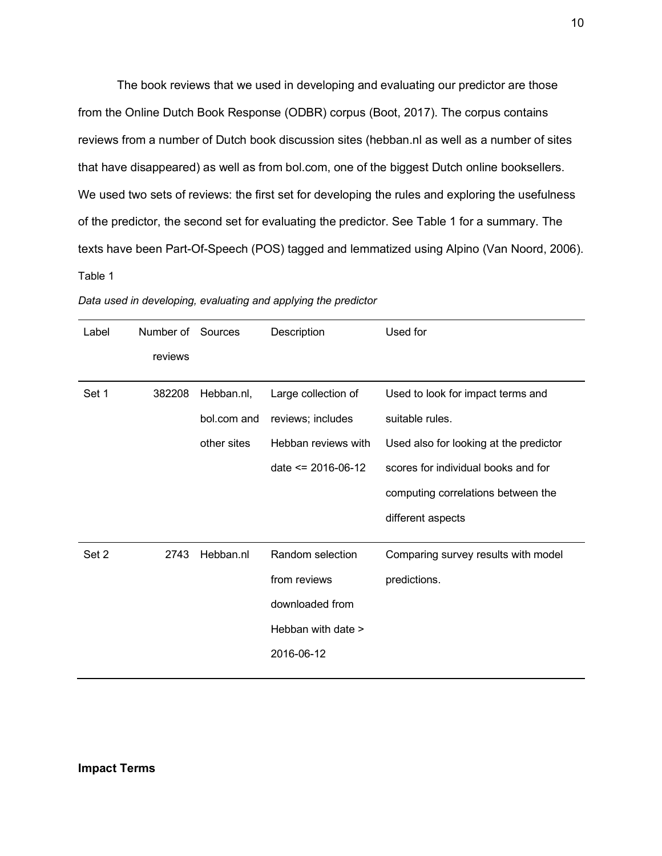The book reviews that we used in developing and evaluating our predictor are those from the Online Dutch Book Response (ODBR) corpus (Boot, 2017). The corpus contains reviews from a number of Dutch book discussion sites (hebban.nl as well as a number of sites that have disappeared) as well as from bol.com, one of the biggest Dutch online booksellers. We used two sets of reviews: the first set for developing the rules and exploring the usefulness of the predictor, the second set for evaluating the predictor. See Table 1 for a summary. The texts have been Part-Of-Speech (POS) tagged and lemmatized using Alpino (Van Noord, 2006). Table 1

| Label | Number of Sources |             | Description            | Used for                               |
|-------|-------------------|-------------|------------------------|----------------------------------------|
|       | reviews           |             |                        |                                        |
| Set 1 | 382208            | Hebban.nl,  | Large collection of    | Used to look for impact terms and      |
|       |                   | bol.com and | reviews; includes      | suitable rules.                        |
|       |                   | other sites | Hebban reviews with    | Used also for looking at the predictor |
|       |                   |             | date $\leq$ 2016-06-12 | scores for individual books and for    |
|       |                   |             |                        | computing correlations between the     |
|       |                   |             |                        | different aspects                      |
| Set 2 | 2743              | Hebban.nl   | Random selection       | Comparing survey results with model    |
|       |                   |             | from reviews           | predictions.                           |
|       |                   |             | downloaded from        |                                        |
|       |                   |             | Hebban with date >     |                                        |
|       |                   |             | 2016-06-12             |                                        |
|       |                   |             |                        |                                        |

*Data used in developing, evaluating and applying the predictor*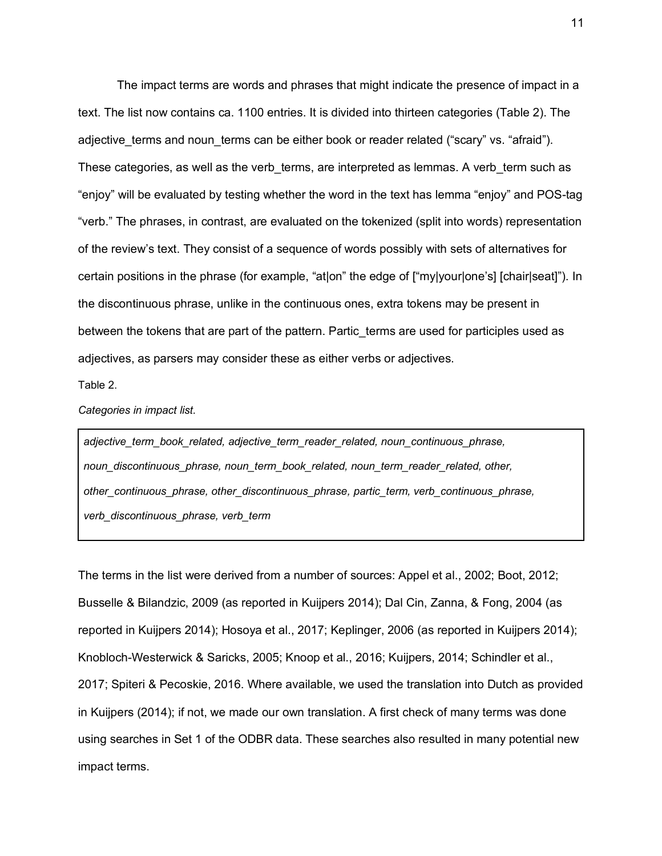The impact terms are words and phrases that might indicate the presence of impact in a text. The list now contains ca. 1100 entries. It is divided into thirteen categories (Table 2). The adjective terms and noun terms can be either book or reader related ("scary" vs. "afraid"). These categories, as well as the verb terms, are interpreted as lemmas. A verb term such as "enjoy" will be evaluated by testing whether the word in the text has lemma "enjoy" and POS-tag "verb." The phrases, in contrast, are evaluated on the tokenized (split into words) representation of the review's text. They consist of a sequence of words possibly with sets of alternatives for certain positions in the phrase (for example, "at|on" the edge of ["my|your|one's] [chair|seat]"). In the discontinuous phrase, unlike in the continuous ones, extra tokens may be present in between the tokens that are part of the pattern. Partic terms are used for participles used as adjectives, as parsers may consider these as either verbs or adjectives.

Table 2.

*Categories in impact list.*

*adjective\_term\_book\_related, adjective\_term\_reader\_related, noun\_continuous\_phrase, noun\_discontinuous\_phrase, noun\_term\_book\_related, noun\_term\_reader\_related, other, other\_continuous\_phrase, other\_discontinuous\_phrase, partic\_term, verb\_continuous\_phrase, verb\_discontinuous\_phrase, verb\_term*

The terms in the list were derived from a number of sources: Appel et al., 2002; Boot, 2012; Busselle & Bilandzic, 2009 (as reported in Kuijpers 2014); Dal Cin, Zanna, & Fong, 2004 (as reported in Kuijpers 2014); Hosoya et al., 2017; Keplinger, 2006 (as reported in Kuijpers 2014); Knobloch-Westerwick & Saricks, 2005; Knoop et al., 2016; Kuijpers, 2014; Schindler et al., 2017; Spiteri & Pecoskie, 2016. Where available, we used the translation into Dutch as provided in Kuijpers (2014); if not, we made our own translation. A first check of many terms was done using searches in Set 1 of the ODBR data. These searches also resulted in many potential new impact terms.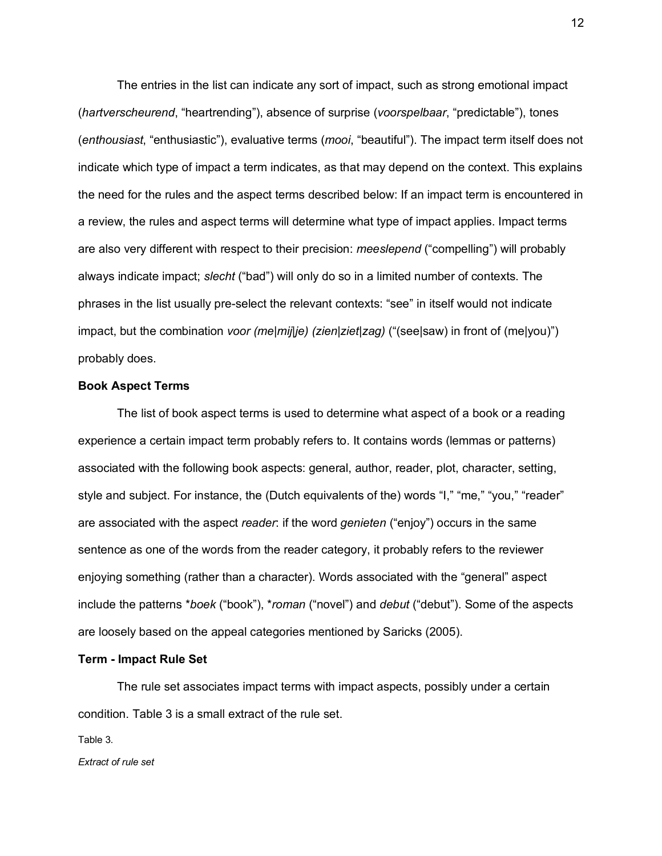The entries in the list can indicate any sort of impact, such as strong emotional impact (*hartverscheurend*, "heartrending"), absence of surprise (*voorspelbaar*, "predictable"), tones (*enthousiast*, "enthusiastic"), evaluative terms (*mooi*, "beautiful"). The impact term itself does not indicate which type of impact a term indicates, as that may depend on the context. This explains the need for the rules and the aspect terms described below: If an impact term is encountered in a review, the rules and aspect terms will determine what type of impact applies. Impact terms are also very different with respect to their precision: *meeslepend* ("compelling") will probably always indicate impact; *slecht* ("bad") will only do so in a limited number of contexts. The phrases in the list usually pre-select the relevant contexts: "see" in itself would not indicate impact, but the combination *voor (me|mij|je) (zien|ziet|zag)* ("(see|saw) in front of (me|you)") probably does.

## **Book Aspect Terms**

The list of book aspect terms is used to determine what aspect of a book or a reading experience a certain impact term probably refers to. It contains words (lemmas or patterns) associated with the following book aspects: general, author, reader, plot, character, setting, style and subject. For instance, the (Dutch equivalents of the) words "I," "me," "you," "reader" are associated with the aspect *reader*: if the word *genieten* ("enjoy") occurs in the same sentence as one of the words from the reader category, it probably refers to the reviewer enjoying something (rather than a character). Words associated with the "general" aspect include the patterns \**boek* ("book"), \**roman* ("novel") and *debut* ("debut"). Some of the aspects are loosely based on the appeal categories mentioned by Saricks (2005).

### **Term - Impact Rule Set**

The rule set associates impact terms with impact aspects, possibly under a certain condition. Table 3 is a small extract of the rule set.

Table 3.

*Extract of rule set*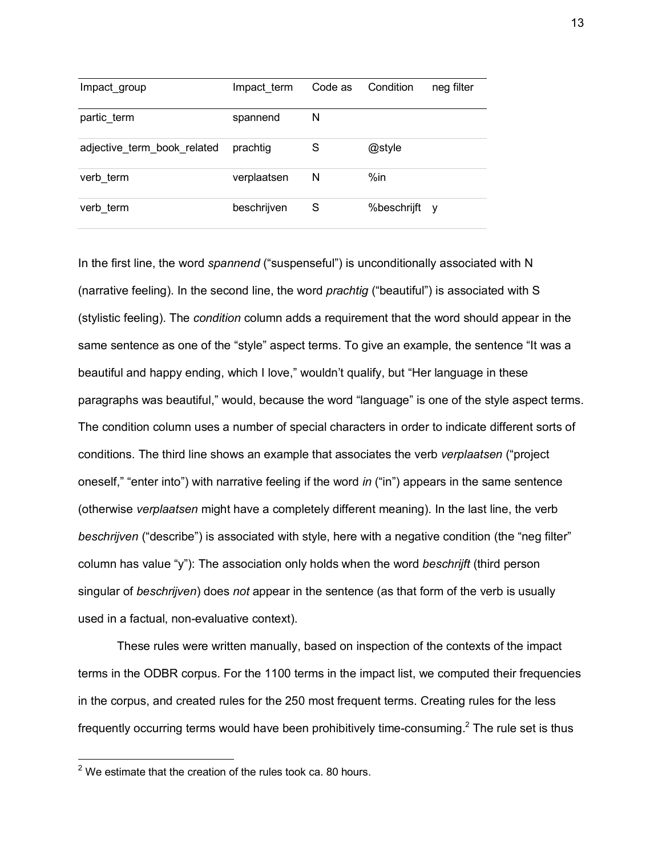| Impact group                | Impact term | Code as | Condition     | neg filter |
|-----------------------------|-------------|---------|---------------|------------|
| partic_term                 | spannend    | N       |               |            |
| adjective_term_book_related | prachtig    | S       | @style        |            |
| verb term                   | verplaatsen | N       | $%$ in        |            |
| verb term                   | beschrijven | S       | %beschrijft y |            |

In the first line, the word *spannend* ("suspenseful") is unconditionally associated with N (narrative feeling). In the second line, the word *prachtig* ("beautiful") is associated with S (stylistic feeling). The *condition* column adds a requirement that the word should appear in the same sentence as one of the "style" aspect terms. To give an example, the sentence "It was a beautiful and happy ending, which I love," wouldn't qualify, but "Her language in these paragraphs was beautiful," would, because the word "language" is one of the style aspect terms. The condition column uses a number of special characters in order to indicate different sorts of conditions. The third line shows an example that associates the verb *verplaatsen* ("project oneself," "enter into") with narrative feeling if the word *in* ("in") appears in the same sentence (otherwise *verplaatsen* might have a completely different meaning). In the last line, the verb *beschrijven* ("describe") is associated with style, here with a negative condition (the "neg filter" column has value "y"): The association only holds when the word *beschrijft* (third person singular of *beschrijven*) does *not* appear in the sentence (as that form of the verb is usually used in a factual, non-evaluative context).

These rules were written manually, based on inspection of the contexts of the impact terms in the ODBR corpus. For the 1100 terms in the impact list, we computed their frequencies in the corpus, and created rules for the 250 most frequent terms. Creating rules for the less frequently occurring terms would have been prohibitively time-consuming.<sup>2</sup> The rule set is thus

 $2$  We estimate that the creation of the rules took ca. 80 hours.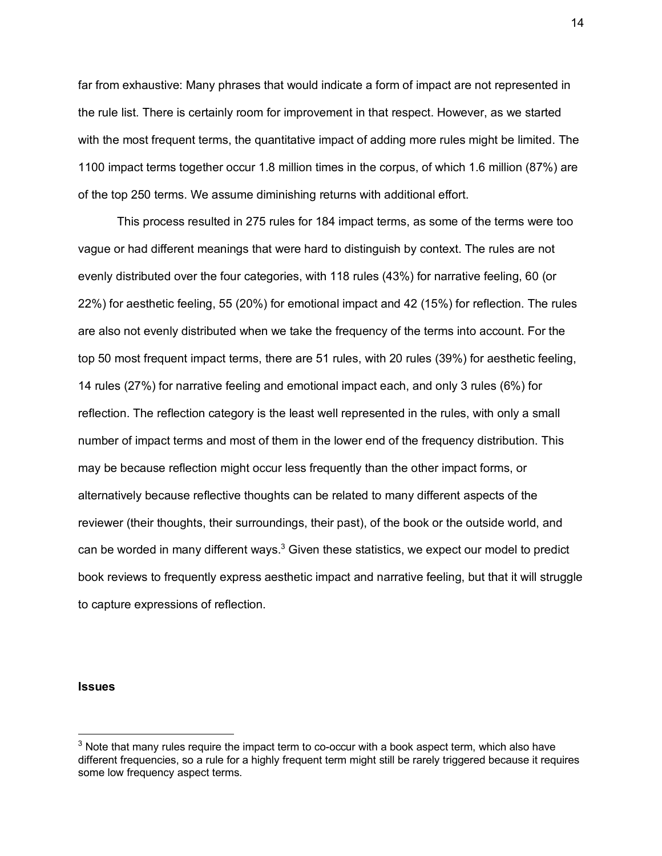far from exhaustive: Many phrases that would indicate a form of impact are not represented in the rule list. There is certainly room for improvement in that respect. However, as we started with the most frequent terms, the quantitative impact of adding more rules might be limited. The 1100 impact terms together occur 1.8 million times in the corpus, of which 1.6 million (87%) are of the top 250 terms. We assume diminishing returns with additional effort.

This process resulted in 275 rules for 184 impact terms, as some of the terms were too vague or had different meanings that were hard to distinguish by context. The rules are not evenly distributed over the four categories, with 118 rules (43%) for narrative feeling, 60 (or 22%) for aesthetic feeling, 55 (20%) for emotional impact and 42 (15%) for reflection. The rules are also not evenly distributed when we take the frequency of the terms into account. For the top 50 most frequent impact terms, there are 51 rules, with 20 rules (39%) for aesthetic feeling, 14 rules (27%) for narrative feeling and emotional impact each, and only 3 rules (6%) for reflection. The reflection category is the least well represented in the rules, with only a small number of impact terms and most of them in the lower end of the frequency distribution. This may be because reflection might occur less frequently than the other impact forms, or alternatively because reflective thoughts can be related to many different aspects of the reviewer (their thoughts, their surroundings, their past), of the book or the outside world, and can be worded in many different ways. $3$  Given these statistics, we expect our model to predict book reviews to frequently express aesthetic impact and narrative feeling, but that it will struggle to capture expressions of reflection.

#### **Issues**

 $3$  Note that many rules require the impact term to co-occur with a book aspect term, which also have different frequencies, so a rule for a highly frequent term might still be rarely triggered because it requires some low frequency aspect terms.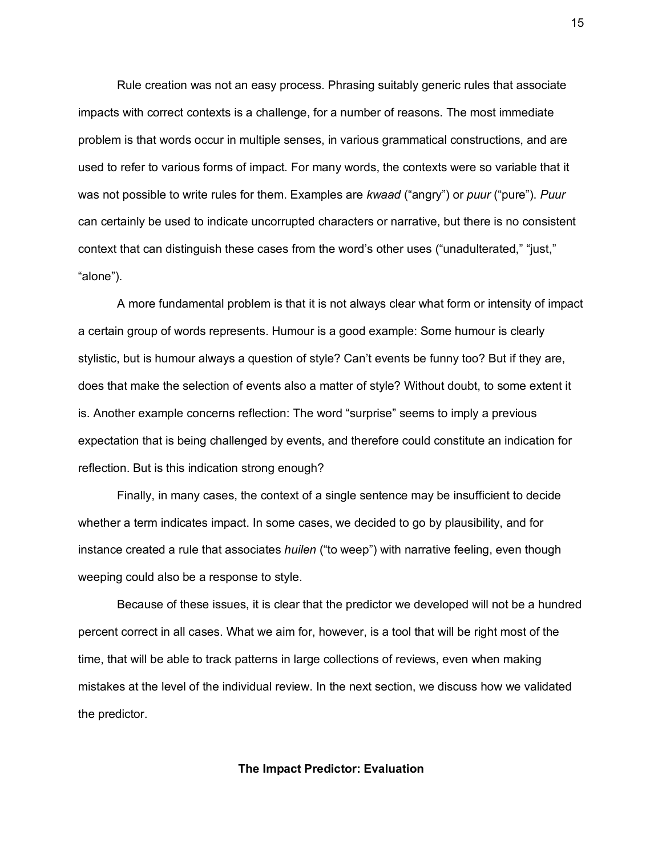Rule creation was not an easy process. Phrasing suitably generic rules that associate impacts with correct contexts is a challenge, for a number of reasons. The most immediate problem is that words occur in multiple senses, in various grammatical constructions, and are used to refer to various forms of impact. For many words, the contexts were so variable that it was not possible to write rules for them. Examples are *kwaad* ("angry") or *puur* ("pure"). *Puur* can certainly be used to indicate uncorrupted characters or narrative, but there is no consistent context that can distinguish these cases from the word's other uses ("unadulterated," "just," "alone").

A more fundamental problem is that it is not always clear what form or intensity of impact a certain group of words represents. Humour is a good example: Some humour is clearly stylistic, but is humour always a question of style? Can't events be funny too? But if they are, does that make the selection of events also a matter of style? Without doubt, to some extent it is. Another example concerns reflection: The word "surprise" seems to imply a previous expectation that is being challenged by events, and therefore could constitute an indication for reflection. But is this indication strong enough?

Finally, in many cases, the context of a single sentence may be insufficient to decide whether a term indicates impact. In some cases, we decided to go by plausibility, and for instance created a rule that associates *huilen* ("to weep") with narrative feeling, even though weeping could also be a response to style.

Because of these issues, it is clear that the predictor we developed will not be a hundred percent correct in all cases. What we aim for, however, is a tool that will be right most of the time, that will be able to track patterns in large collections of reviews, even when making mistakes at the level of the individual review. In the next section, we discuss how we validated the predictor.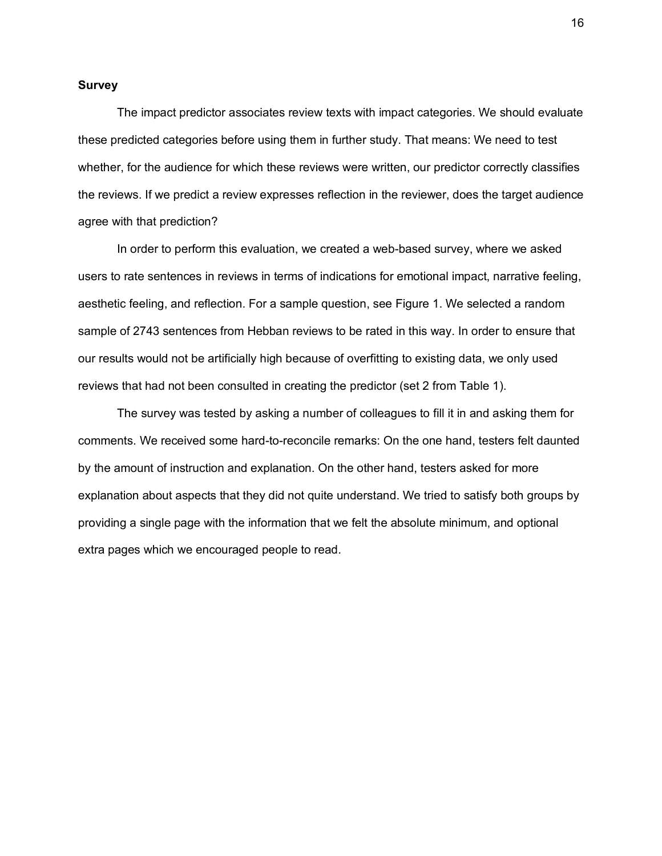#### **Survey**

The impact predictor associates review texts with impact categories. We should evaluate these predicted categories before using them in further study. That means: We need to test whether, for the audience for which these reviews were written, our predictor correctly classifies the reviews. If we predict a review expresses reflection in the reviewer, does the target audience agree with that prediction?

In order to perform this evaluation, we created a web-based survey, where we asked users to rate sentences in reviews in terms of indications for emotional impact, narrative feeling, aesthetic feeling, and reflection. For a sample question, see Figure 1. We selected a random sample of 2743 sentences from Hebban reviews to be rated in this way. In order to ensure that our results would not be artificially high because of overfitting to existing data, we only used reviews that had not been consulted in creating the predictor (set 2 from Table 1).

The survey was tested by asking a number of colleagues to fill it in and asking them for comments. We received some hard-to-reconcile remarks: On the one hand, testers felt daunted by the amount of instruction and explanation. On the other hand, testers asked for more explanation about aspects that they did not quite understand. We tried to satisfy both groups by providing a single page with the information that we felt the absolute minimum, and optional extra pages which we encouraged people to read.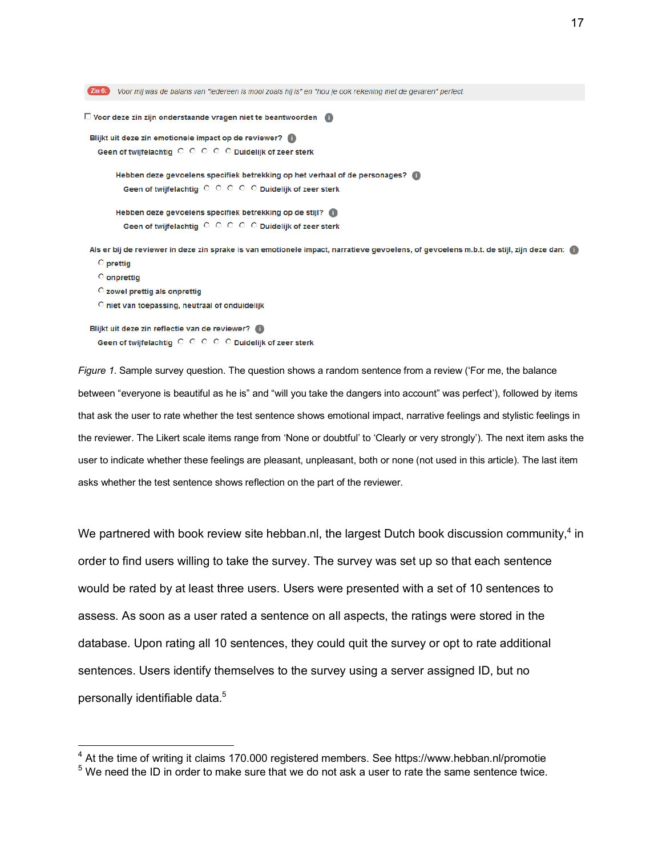Zin 6: Voor mij was de balans van "iedereen is mooi zoals hij is" en "hou je ook rekening met de gevaren" perfect.  $\square$  Voor deze zin zijn onderstaande vragen niet te beantwoorden Blijkt uit deze zin emotionele impact op de reviewer? Geen of twijfelachtig CCCCCDuidelijk of zeer sterk Hebben deze gevoelens specifiek betrekking op het verhaal of de personages? Geen of twijfelachtig O O O O Duidelijk of zeer sterk Hebben deze gevoelens specifiek betrekking op de stijl? Geen of twijfelachtig O O O O Duidelijk of zeer sterk Als er bij de reviewer in deze zin sprake is van emotionele impact, narratieve gevoelens, of gevoelens m.b.t. de stijl, zijn deze dan: **O** prettig **O** onprettig C zowel prettig als onprettig O niet van toepassing, neutraal of onduidelijk Blijkt uit deze zin reflectie van de reviewer? Geen of twijfelachtig C C C C Duidelijk of zeer sterk

*Figure 1*. Sample survey question. The question shows a random sentence from a review ('For me, the balance between "everyone is beautiful as he is" and "will you take the dangers into account" was perfect'), followed by items that ask the user to rate whether the test sentence shows emotional impact, narrative feelings and stylistic feelings in the reviewer. The Likert scale items range from 'None or doubtful' to 'Clearly or very strongly'). The next item asks the user to indicate whether these feelings are pleasant, unpleasant, both or none (not used in this article). The last item asks whether the test sentence shows reflection on the part of the reviewer.

We partnered with book review site hebban.nl, the largest Dutch book discussion community, $4$  in order to find users willing to take the survey. The survey was set up so that each sentence would be rated by at least three users. Users were presented with a set of 10 sentences to assess. As soon as a user rated a sentence on all aspects, the ratings were stored in the database. Upon rating all 10 sentences, they could quit the survey or opt to rate additional sentences. Users identify themselves to the survey using a server assigned ID, but no personally identifiable data.<sup>5</sup>

<sup>&</sup>lt;sup>4</sup> At the time of writing it claims 170.000 registered members. See https://www.hebban.nl/promotie

 $5$  We need the ID in order to make sure that we do not ask a user to rate the same sentence twice.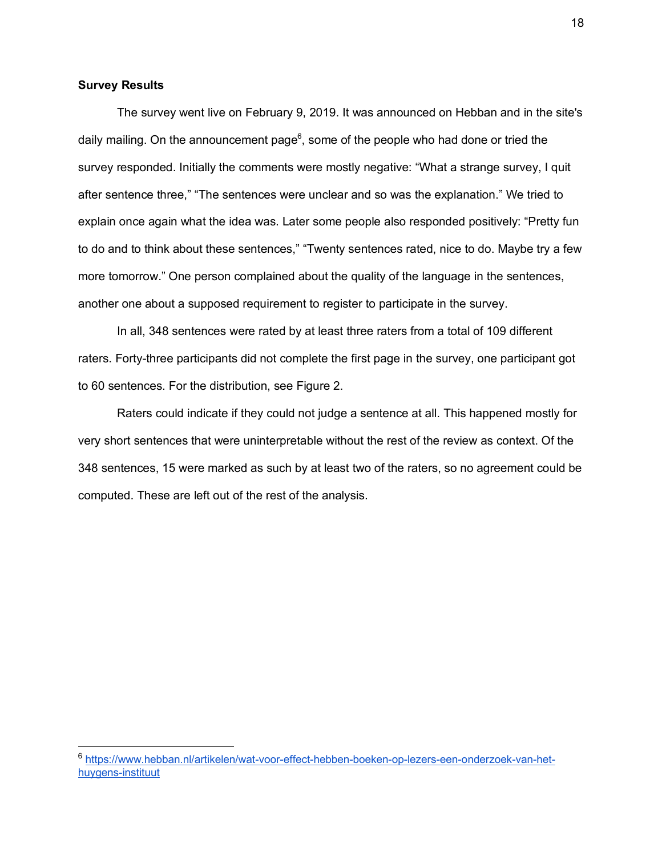### **Survey Results**

The survey went live on February 9, 2019. It was announced on Hebban and in the site's daily mailing. On the announcement page<sup>6</sup>, some of the people who had done or tried the survey responded. Initially the comments were mostly negative: "What a strange survey, I quit after sentence three," "The sentences were unclear and so was the explanation." We tried to explain once again what the idea was. Later some people also responded positively: "Pretty fun to do and to think about these sentences," "Twenty sentences rated, nice to do. Maybe try a few more tomorrow." One person complained about the quality of the language in the sentences, another one about a supposed requirement to register to participate in the survey.

In all, 348 sentences were rated by at least three raters from a total of 109 different raters. Forty-three participants did not complete the first page in the survey, one participant got to 60 sentences. For the distribution, see Figure 2.

Raters could indicate if they could not judge a sentence at all. This happened mostly for very short sentences that were uninterpretable without the rest of the review as context. Of the 348 sentences, 15 were marked as such by at least two of the raters, so no agreement could be computed. These are left out of the rest of the analysis.

 <sup>6</sup> https://www.hebban.nl/artikelen/wat-voor-effect-hebben-boeken-op-lezers-een-onderzoek-van-hethuygens-instituut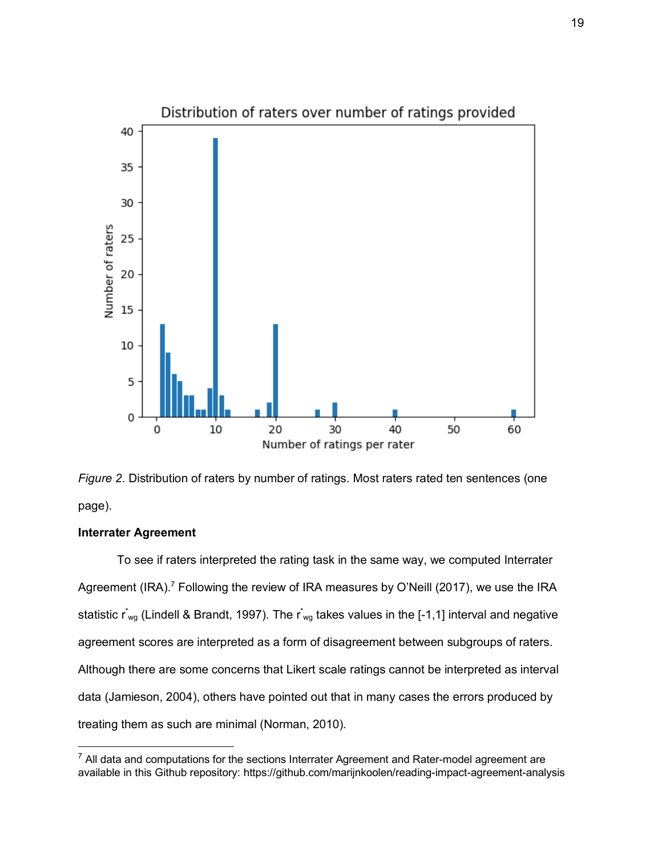



## **Interrater Agreement**

To see if raters interpreted the rating task in the same way, we computed Interrater Agreement (IRA).<sup>7</sup> Following the review of IRA measures by O'Neill (2017), we use the IRA statistic  $r_{wg}^{*}$  (Lindell & Brandt, 1997). The  $r_{wg}^{*}$  takes values in the [-1,1] interval and negative agreement scores are interpreted as a form of disagreement between subgroups of raters. Although there are some concerns that Likert scale ratings cannot be interpreted as interval data (Jamieson, 2004), others have pointed out that in many cases the errors produced by treating them as such are minimal (Norman, 2010).

 $7$  All data and computations for the sections Interrater Agreement and Rater-model agreement are available in this Github repository: https://github.com/marijnkoolen/reading-impact-agreement-analysis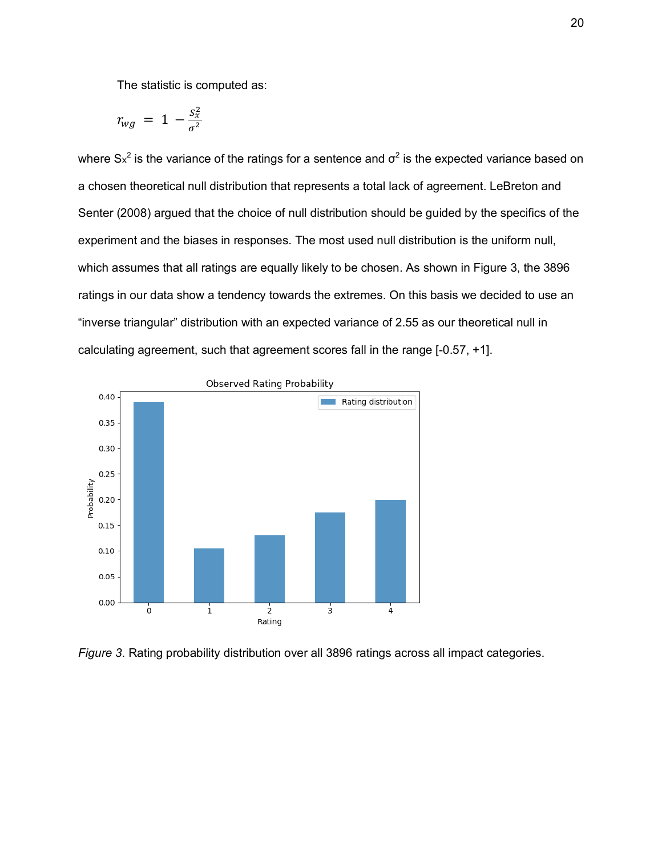The statistic is computed as:

$$
r_{wg} = 1 - \frac{S_x^2}{\sigma^2}
$$

where  $S_x^2$  is the variance of the ratings for a sentence and  $\sigma^2$  is the expected variance based on a chosen theoretical null distribution that represents a total lack of agreement. LeBreton and Senter (2008) argued that the choice of null distribution should be guided by the specifics of the experiment and the biases in responses. The most used null distribution is the uniform null, which assumes that all ratings are equally likely to be chosen. As shown in Figure 3, the 3896 ratings in our data show a tendency towards the extremes. On this basis we decided to use an "inverse triangular" distribution with an expected variance of 2.55 as our theoretical null in calculating agreement, such that agreement scores fall in the range [-0.57, +1].



*Figure 3*. Rating probability distribution over all 3896 ratings across all impact categories.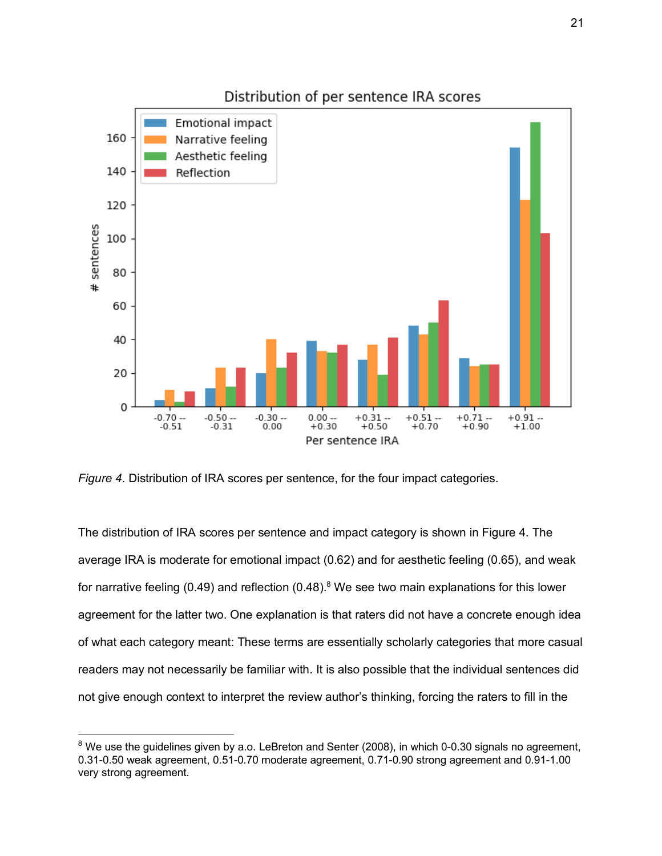

*Figure 4*. Distribution of IRA scores per sentence, for the four impact categories.

The distribution of IRA scores per sentence and impact category is shown in Figure 4. The average IRA is moderate for emotional impact (0.62) and for aesthetic feeling (0.65), and weak for narrative feeling (0.49) and reflection (0.48).<sup>8</sup> We see two main explanations for this lower agreement for the latter two. One explanation is that raters did not have a concrete enough idea of what each category meant: These terms are essentially scholarly categories that more casual readers may not necessarily be familiar with. It is also possible that the individual sentences did not give enough context to interpret the review author's thinking, forcing the raters to fill in the

 $8$  We use the guidelines given by a.o. LeBreton and Senter (2008), in which 0-0.30 signals no agreement, 0.31-0.50 weak agreement, 0.51-0.70 moderate agreement, 0.71-0.90 strong agreement and 0.91-1.00 very strong agreement.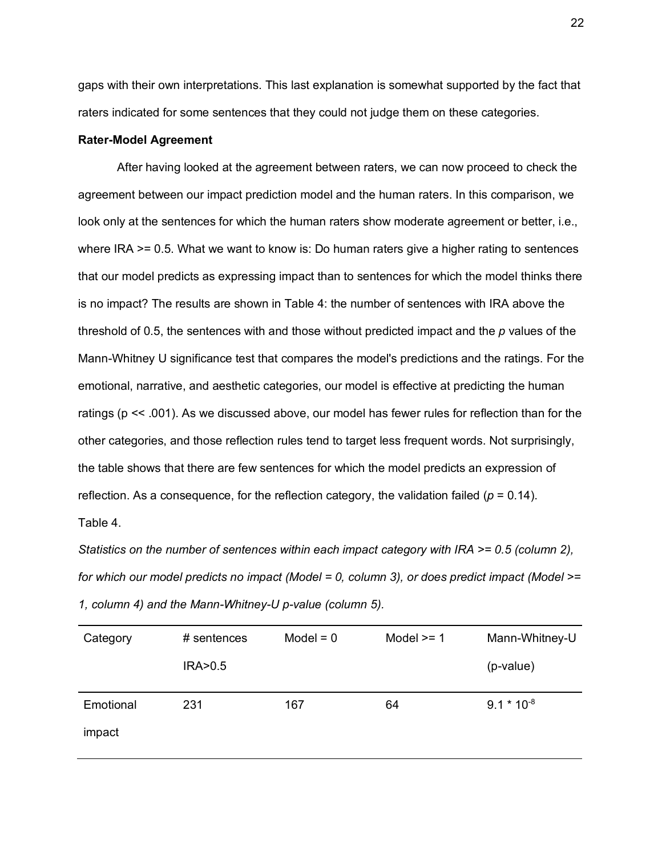gaps with their own interpretations. This last explanation is somewhat supported by the fact that raters indicated for some sentences that they could not judge them on these categories.

#### **Rater-Model Agreement**

After having looked at the agreement between raters, we can now proceed to check the agreement between our impact prediction model and the human raters. In this comparison, we look only at the sentences for which the human raters show moderate agreement or better, i.e., where IRA  $>= 0.5$ . What we want to know is: Do human raters give a higher rating to sentences that our model predicts as expressing impact than to sentences for which the model thinks there is no impact? The results are shown in Table 4: the number of sentences with IRA above the threshold of 0.5, the sentences with and those without predicted impact and the *p* values of the Mann-Whitney U significance test that compares the model's predictions and the ratings. For the emotional, narrative, and aesthetic categories, our model is effective at predicting the human ratings (p << .001). As we discussed above, our model has fewer rules for reflection than for the other categories, and those reflection rules tend to target less frequent words. Not surprisingly, the table shows that there are few sentences for which the model predicts an expression of reflection. As a consequence, for the reflection category, the validation failed ( $p = 0.14$ ). Table 4.

*Statistics on the number of sentences within each impact category with IRA >= 0.5 (column 2), for which our model predicts no impact (Model = 0, column 3), or does predict impact (Model >= 1, column 4) and the Mann-Whitney-U p-value (column 5).*

| Category  | # sentences | $Model = 0$ | Model $>= 1$ | Mann-Whitney-U  |
|-----------|-------------|-------------|--------------|-----------------|
|           | IRA > 0.5   |             |              | (p-value)       |
| Emotional | 231         | 167         | 64           | $9.1 * 10^{-8}$ |
| impact    |             |             |              |                 |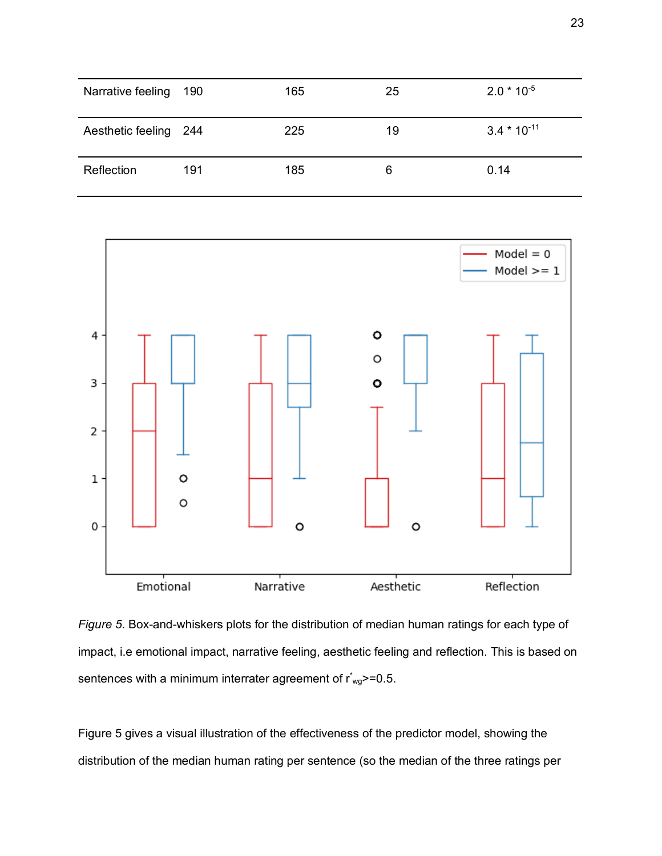| Narrative feeling     | 190 | 165 | 25 | $2.0 * 10^{-5}$  |
|-----------------------|-----|-----|----|------------------|
| Aesthetic feeling 244 |     | 225 | 19 | $3.4 * 10^{-11}$ |
| Reflection            | 191 | 185 | 6  | 0.14             |



*Figure 5*. Box-and-whiskers plots for the distribution of median human ratings for each type of impact, i.e emotional impact, narrative feeling, aesthetic feeling and reflection. This is based on sentences with a minimum interrater agreement of  $r_{wg}^*$  = 0.5.

Figure 5 gives a visual illustration of the effectiveness of the predictor model, showing the distribution of the median human rating per sentence (so the median of the three ratings per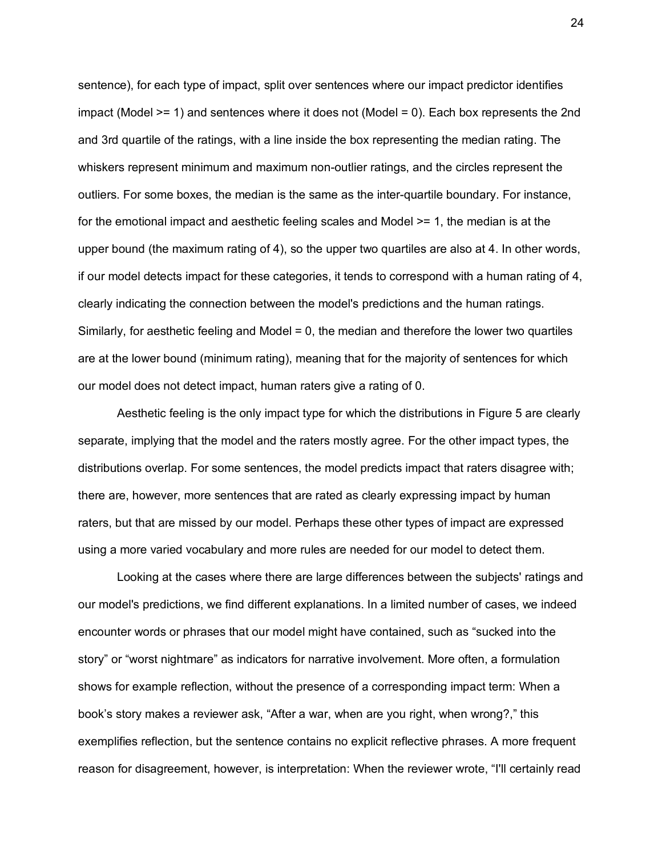sentence), for each type of impact, split over sentences where our impact predictor identifies impact (Model >= 1) and sentences where it does not (Model = 0). Each box represents the 2nd and 3rd quartile of the ratings, with a line inside the box representing the median rating. The whiskers represent minimum and maximum non-outlier ratings, and the circles represent the outliers. For some boxes, the median is the same as the inter-quartile boundary. For instance, for the emotional impact and aesthetic feeling scales and Model >= 1, the median is at the upper bound (the maximum rating of 4), so the upper two quartiles are also at 4. In other words, if our model detects impact for these categories, it tends to correspond with a human rating of 4, clearly indicating the connection between the model's predictions and the human ratings. Similarly, for aesthetic feeling and Model = 0, the median and therefore the lower two quartiles are at the lower bound (minimum rating), meaning that for the majority of sentences for which our model does not detect impact, human raters give a rating of 0.

Aesthetic feeling is the only impact type for which the distributions in Figure 5 are clearly separate, implying that the model and the raters mostly agree. For the other impact types, the distributions overlap. For some sentences, the model predicts impact that raters disagree with; there are, however, more sentences that are rated as clearly expressing impact by human raters, but that are missed by our model. Perhaps these other types of impact are expressed using a more varied vocabulary and more rules are needed for our model to detect them.

Looking at the cases where there are large differences between the subjects' ratings and our model's predictions, we find different explanations. In a limited number of cases, we indeed encounter words or phrases that our model might have contained, such as "sucked into the story" or "worst nightmare" as indicators for narrative involvement. More often, a formulation shows for example reflection, without the presence of a corresponding impact term: When a book's story makes a reviewer ask, "After a war, when are you right, when wrong?," this exemplifies reflection, but the sentence contains no explicit reflective phrases. A more frequent reason for disagreement, however, is interpretation: When the reviewer wrote, "I'll certainly read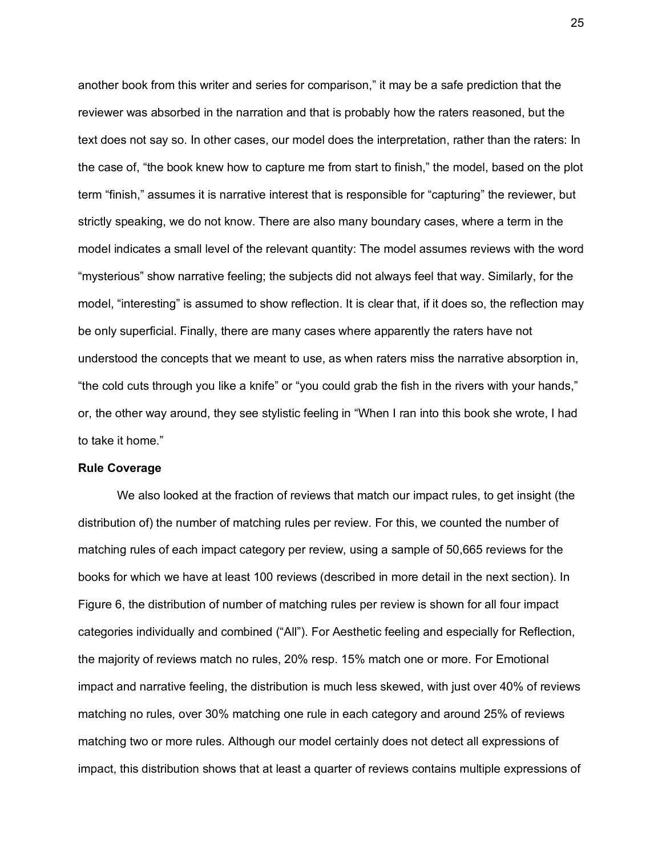another book from this writer and series for comparison," it may be a safe prediction that the reviewer was absorbed in the narration and that is probably how the raters reasoned, but the text does not say so. In other cases, our model does the interpretation, rather than the raters: In the case of, "the book knew how to capture me from start to finish," the model, based on the plot term "finish," assumes it is narrative interest that is responsible for "capturing" the reviewer, but strictly speaking, we do not know. There are also many boundary cases, where a term in the model indicates a small level of the relevant quantity: The model assumes reviews with the word "mysterious" show narrative feeling; the subjects did not always feel that way. Similarly, for the model, "interesting" is assumed to show reflection. It is clear that, if it does so, the reflection may be only superficial. Finally, there are many cases where apparently the raters have not understood the concepts that we meant to use, as when raters miss the narrative absorption in, "the cold cuts through you like a knife" or "you could grab the fish in the rivers with your hands," or, the other way around, they see stylistic feeling in "When I ran into this book she wrote, I had to take it home."

#### **Rule Coverage**

We also looked at the fraction of reviews that match our impact rules, to get insight (the distribution of) the number of matching rules per review. For this, we counted the number of matching rules of each impact category per review, using a sample of 50,665 reviews for the books for which we have at least 100 reviews (described in more detail in the next section). In Figure 6, the distribution of number of matching rules per review is shown for all four impact categories individually and combined ("All"). For Aesthetic feeling and especially for Reflection, the majority of reviews match no rules, 20% resp. 15% match one or more. For Emotional impact and narrative feeling, the distribution is much less skewed, with just over 40% of reviews matching no rules, over 30% matching one rule in each category and around 25% of reviews matching two or more rules. Although our model certainly does not detect all expressions of impact, this distribution shows that at least a quarter of reviews contains multiple expressions of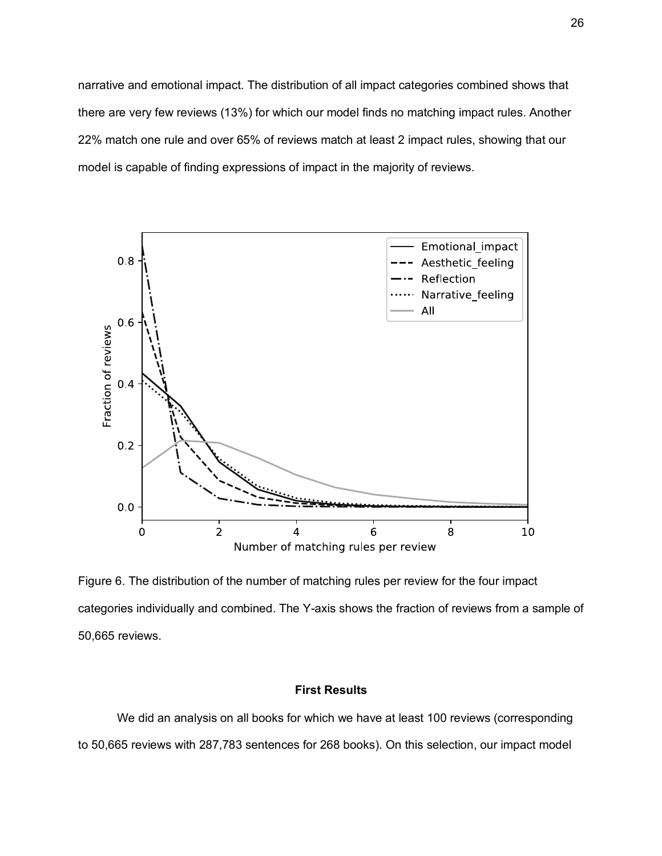narrative and emotional impact. The distribution of all impact categories combined shows that there are very few reviews (13%) for which our model finds no matching impact rules. Another 22% match one rule and over 65% of reviews match at least 2 impact rules, showing that our model is capable of finding expressions of impact in the majority of reviews.



Figure 6. The distribution of the number of matching rules per review for the four impact categories individually and combined. The Y-axis shows the fraction of reviews from a sample of 50,665 reviews.

## **First Results**

We did an analysis on all books for which we have at least 100 reviews (corresponding to 50,665 reviews with 287,783 sentences for 268 books). On this selection, our impact model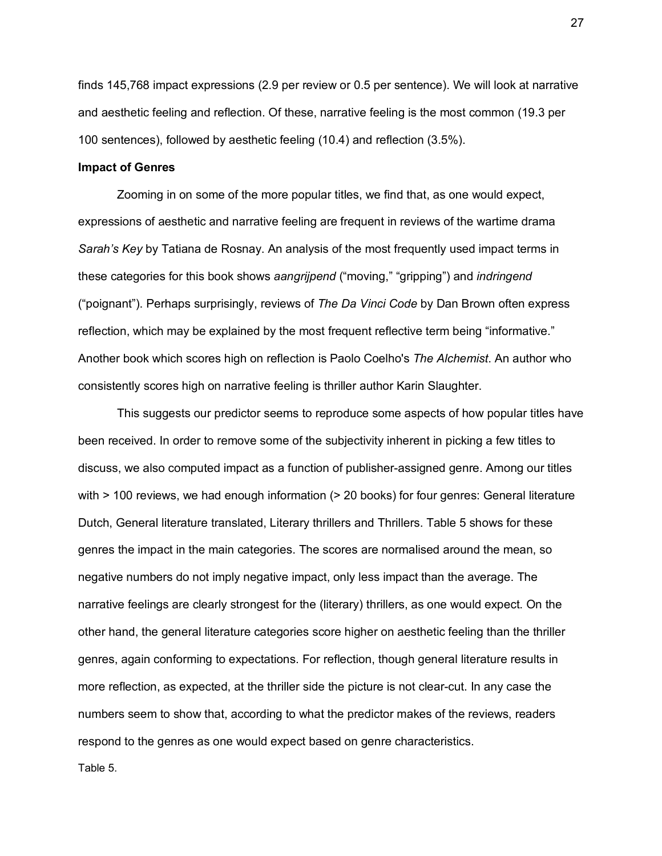finds 145,768 impact expressions (2.9 per review or 0.5 per sentence). We will look at narrative and aesthetic feeling and reflection. Of these, narrative feeling is the most common (19.3 per 100 sentences), followed by aesthetic feeling (10.4) and reflection (3.5%).

## **Impact of Genres**

Zooming in on some of the more popular titles, we find that, as one would expect, expressions of aesthetic and narrative feeling are frequent in reviews of the wartime drama *Sarah's Key* by Tatiana de Rosnay. An analysis of the most frequently used impact terms in these categories for this book shows *aangrijpend* ("moving," "gripping") and *indringend* ("poignant"). Perhaps surprisingly, reviews of *The Da Vinci Code* by Dan Brown often express reflection, which may be explained by the most frequent reflective term being "informative." Another book which scores high on reflection is Paolo Coelho's *The Alchemist*. An author who consistently scores high on narrative feeling is thriller author Karin Slaughter.

This suggests our predictor seems to reproduce some aspects of how popular titles have been received. In order to remove some of the subjectivity inherent in picking a few titles to discuss, we also computed impact as a function of publisher-assigned genre. Among our titles with  $> 100$  reviews, we had enough information ( $> 20$  books) for four genres: General literature Dutch, General literature translated, Literary thrillers and Thrillers. Table 5 shows for these genres the impact in the main categories. The scores are normalised around the mean, so negative numbers do not imply negative impact, only less impact than the average. The narrative feelings are clearly strongest for the (literary) thrillers, as one would expect. On the other hand, the general literature categories score higher on aesthetic feeling than the thriller genres, again conforming to expectations. For reflection, though general literature results in more reflection, as expected, at the thriller side the picture is not clear-cut. In any case the numbers seem to show that, according to what the predictor makes of the reviews, readers respond to the genres as one would expect based on genre characteristics.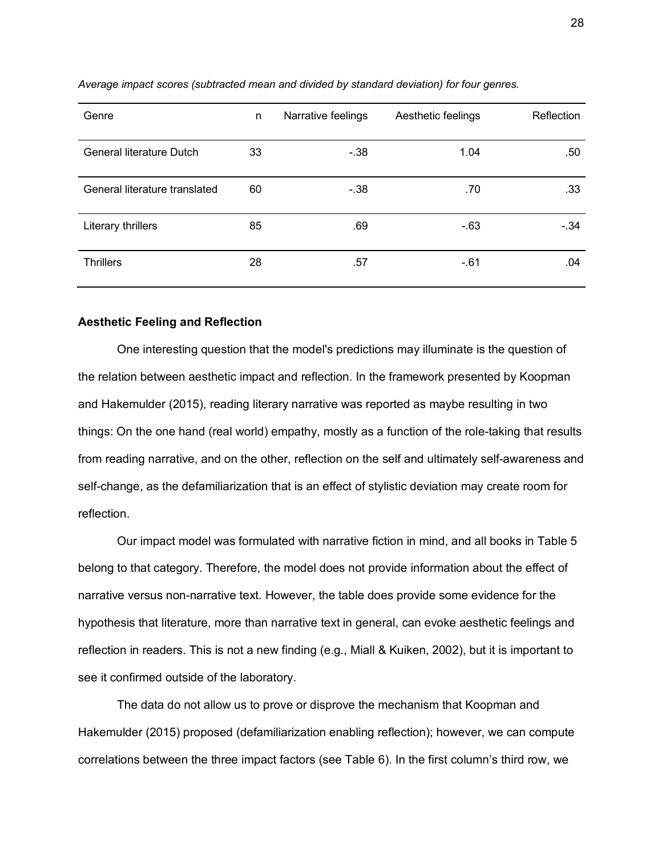| Genre                         | n  | Narrative feelings | Aesthetic feelings | Reflection |
|-------------------------------|----|--------------------|--------------------|------------|
| General literature Dutch      | 33 | $-38$              | 1.04               | .50        |
| General literature translated | 60 | $-.38$             | .70                | .33        |
| Literary thrillers            | 85 | .69                | $-63$              | $-.34$     |
| <b>Thrillers</b>              | 28 | .57                | $-.61$             | .04        |

#### *Average impact scores (subtracted mean and divided by standard deviation) for four genres.*

### **Aesthetic Feeling and Reflection**

One interesting question that the model's predictions may illuminate is the question of the relation between aesthetic impact and reflection. In the framework presented by Koopman and Hakemulder (2015), reading literary narrative was reported as maybe resulting in two things: On the one hand (real world) empathy, mostly as a function of the role-taking that results from reading narrative, and on the other, reflection on the self and ultimately self-awareness and self-change, as the defamiliarization that is an effect of stylistic deviation may create room for reflection.

Our impact model was formulated with narrative fiction in mind, and all books in Table 5 belong to that category. Therefore, the model does not provide information about the effect of narrative versus non-narrative text. However, the table does provide some evidence for the hypothesis that literature, more than narrative text in general, can evoke aesthetic feelings and reflection in readers. This is not a new finding (e.g., Miall & Kuiken, 2002), but it is important to see it confirmed outside of the laboratory.

The data do not allow us to prove or disprove the mechanism that Koopman and Hakemulder (2015) proposed (defamiliarization enabling reflection); however, we can compute correlations between the three impact factors (see Table 6). In the first column's third row, we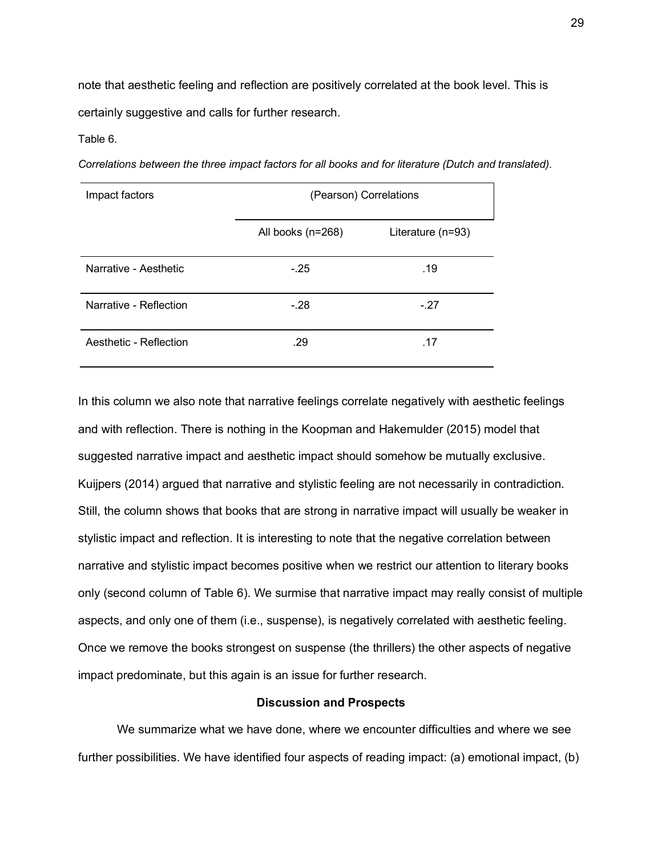note that aesthetic feeling and reflection are positively correlated at the book level. This is certainly suggestive and calls for further research.

Table 6.

| Impact factors         | (Pearson) Correlations |                     |
|------------------------|------------------------|---------------------|
|                        | All books (n=268)      | Literature $(n=93)$ |
| Narrative - Aesthetic  | $-.25$                 | .19                 |
| Narrative - Reflection | $-.28$                 | $-.27$              |
| Aesthetic - Reflection | .29                    | .17                 |

*Correlations between the three impact factors for all books and for literature (Dutch and translated).*

In this column we also note that narrative feelings correlate negatively with aesthetic feelings and with reflection. There is nothing in the Koopman and Hakemulder (2015) model that suggested narrative impact and aesthetic impact should somehow be mutually exclusive. Kuijpers (2014) argued that narrative and stylistic feeling are not necessarily in contradiction. Still, the column shows that books that are strong in narrative impact will usually be weaker in stylistic impact and reflection. It is interesting to note that the negative correlation between narrative and stylistic impact becomes positive when we restrict our attention to literary books only (second column of Table 6). We surmise that narrative impact may really consist of multiple aspects, and only one of them (i.e., suspense), is negatively correlated with aesthetic feeling. Once we remove the books strongest on suspense (the thrillers) the other aspects of negative impact predominate, but this again is an issue for further research.

### **Discussion and Prospects**

We summarize what we have done, where we encounter difficulties and where we see further possibilities. We have identified four aspects of reading impact: (a) emotional impact, (b)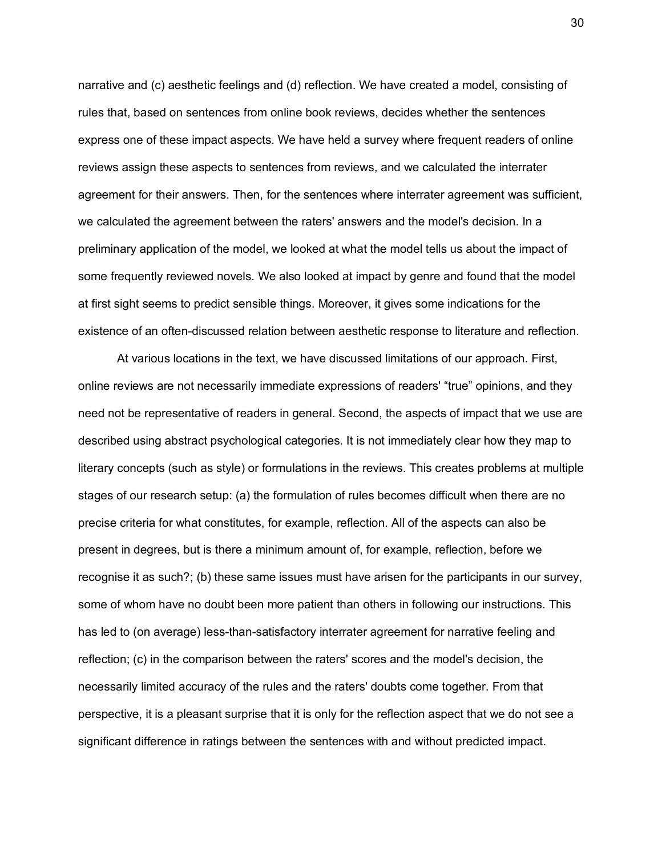narrative and (c) aesthetic feelings and (d) reflection. We have created a model, consisting of rules that, based on sentences from online book reviews, decides whether the sentences express one of these impact aspects. We have held a survey where frequent readers of online reviews assign these aspects to sentences from reviews, and we calculated the interrater agreement for their answers. Then, for the sentences where interrater agreement was sufficient, we calculated the agreement between the raters' answers and the model's decision. In a preliminary application of the model, we looked at what the model tells us about the impact of some frequently reviewed novels. We also looked at impact by genre and found that the model at first sight seems to predict sensible things. Moreover, it gives some indications for the existence of an often-discussed relation between aesthetic response to literature and reflection.

At various locations in the text, we have discussed limitations of our approach. First, online reviews are not necessarily immediate expressions of readers' "true" opinions, and they need not be representative of readers in general. Second, the aspects of impact that we use are described using abstract psychological categories. It is not immediately clear how they map to literary concepts (such as style) or formulations in the reviews. This creates problems at multiple stages of our research setup: (a) the formulation of rules becomes difficult when there are no precise criteria for what constitutes, for example, reflection. All of the aspects can also be present in degrees, but is there a minimum amount of, for example, reflection, before we recognise it as such?; (b) these same issues must have arisen for the participants in our survey, some of whom have no doubt been more patient than others in following our instructions. This has led to (on average) less-than-satisfactory interrater agreement for narrative feeling and reflection; (c) in the comparison between the raters' scores and the model's decision, the necessarily limited accuracy of the rules and the raters' doubts come together. From that perspective, it is a pleasant surprise that it is only for the reflection aspect that we do not see a significant difference in ratings between the sentences with and without predicted impact.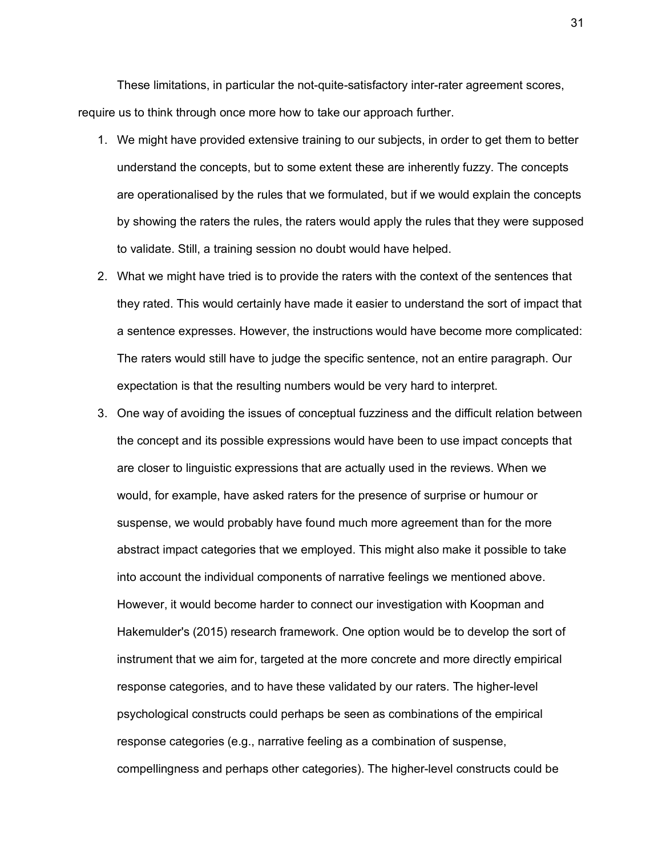These limitations, in particular the not-quite-satisfactory inter-rater agreement scores, require us to think through once more how to take our approach further.

- 1. We might have provided extensive training to our subjects, in order to get them to better understand the concepts, but to some extent these are inherently fuzzy. The concepts are operationalised by the rules that we formulated, but if we would explain the concepts by showing the raters the rules, the raters would apply the rules that they were supposed to validate. Still, a training session no doubt would have helped.
- 2. What we might have tried is to provide the raters with the context of the sentences that they rated. This would certainly have made it easier to understand the sort of impact that a sentence expresses. However, the instructions would have become more complicated: The raters would still have to judge the specific sentence, not an entire paragraph. Our expectation is that the resulting numbers would be very hard to interpret.
- 3. One way of avoiding the issues of conceptual fuzziness and the difficult relation between the concept and its possible expressions would have been to use impact concepts that are closer to linguistic expressions that are actually used in the reviews. When we would, for example, have asked raters for the presence of surprise or humour or suspense, we would probably have found much more agreement than for the more abstract impact categories that we employed. This might also make it possible to take into account the individual components of narrative feelings we mentioned above. However, it would become harder to connect our investigation with Koopman and Hakemulder's (2015) research framework. One option would be to develop the sort of instrument that we aim for, targeted at the more concrete and more directly empirical response categories, and to have these validated by our raters. The higher-level psychological constructs could perhaps be seen as combinations of the empirical response categories (e.g., narrative feeling as a combination of suspense, compellingness and perhaps other categories). The higher-level constructs could be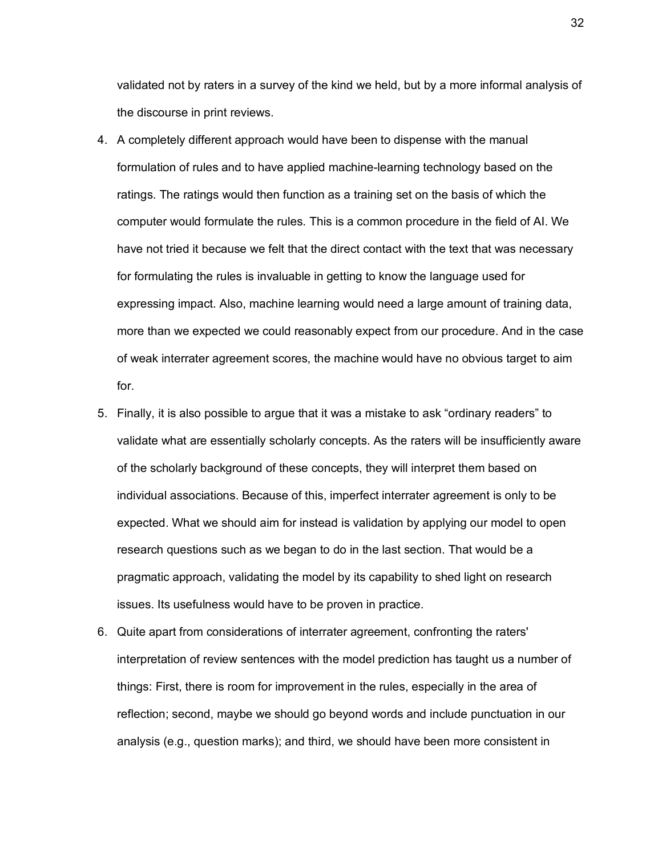validated not by raters in a survey of the kind we held, but by a more informal analysis of the discourse in print reviews.

- 4. A completely different approach would have been to dispense with the manual formulation of rules and to have applied machine-learning technology based on the ratings. The ratings would then function as a training set on the basis of which the computer would formulate the rules. This is a common procedure in the field of AI. We have not tried it because we felt that the direct contact with the text that was necessary for formulating the rules is invaluable in getting to know the language used for expressing impact. Also, machine learning would need a large amount of training data, more than we expected we could reasonably expect from our procedure. And in the case of weak interrater agreement scores, the machine would have no obvious target to aim for.
- 5. Finally, it is also possible to argue that it was a mistake to ask "ordinary readers" to validate what are essentially scholarly concepts. As the raters will be insufficiently aware of the scholarly background of these concepts, they will interpret them based on individual associations. Because of this, imperfect interrater agreement is only to be expected. What we should aim for instead is validation by applying our model to open research questions such as we began to do in the last section. That would be a pragmatic approach, validating the model by its capability to shed light on research issues. Its usefulness would have to be proven in practice.
- 6. Quite apart from considerations of interrater agreement, confronting the raters' interpretation of review sentences with the model prediction has taught us a number of things: First, there is room for improvement in the rules, especially in the area of reflection; second, maybe we should go beyond words and include punctuation in our analysis (e.g., question marks); and third, we should have been more consistent in

32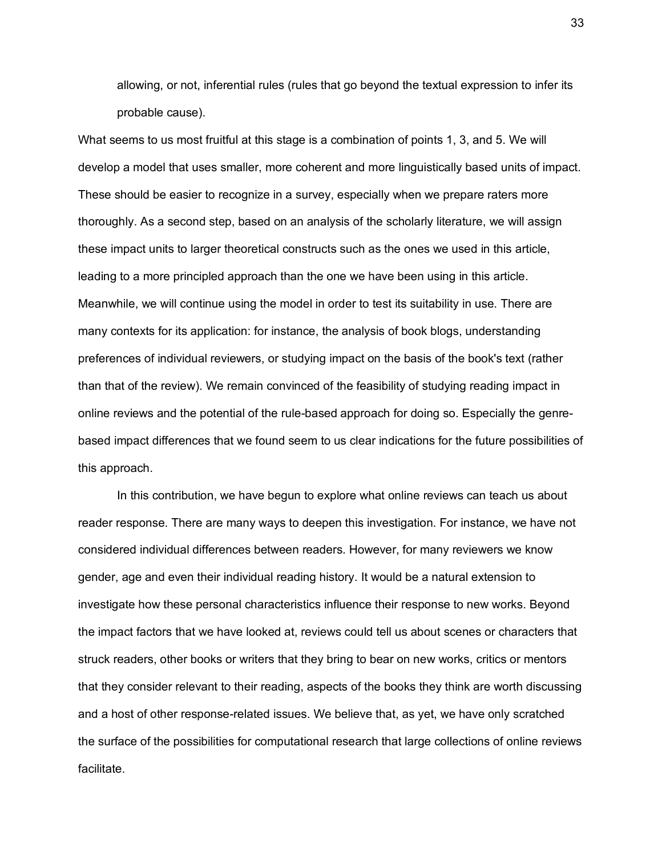allowing, or not, inferential rules (rules that go beyond the textual expression to infer its probable cause).

What seems to us most fruitful at this stage is a combination of points 1, 3, and 5. We will develop a model that uses smaller, more coherent and more linguistically based units of impact. These should be easier to recognize in a survey, especially when we prepare raters more thoroughly. As a second step, based on an analysis of the scholarly literature, we will assign these impact units to larger theoretical constructs such as the ones we used in this article, leading to a more principled approach than the one we have been using in this article. Meanwhile, we will continue using the model in order to test its suitability in use. There are many contexts for its application: for instance, the analysis of book blogs, understanding preferences of individual reviewers, or studying impact on the basis of the book's text (rather than that of the review). We remain convinced of the feasibility of studying reading impact in online reviews and the potential of the rule-based approach for doing so. Especially the genrebased impact differences that we found seem to us clear indications for the future possibilities of this approach.

In this contribution, we have begun to explore what online reviews can teach us about reader response. There are many ways to deepen this investigation. For instance, we have not considered individual differences between readers. However, for many reviewers we know gender, age and even their individual reading history. It would be a natural extension to investigate how these personal characteristics influence their response to new works. Beyond the impact factors that we have looked at, reviews could tell us about scenes or characters that struck readers, other books or writers that they bring to bear on new works, critics or mentors that they consider relevant to their reading, aspects of the books they think are worth discussing and a host of other response-related issues. We believe that, as yet, we have only scratched the surface of the possibilities for computational research that large collections of online reviews facilitate.

33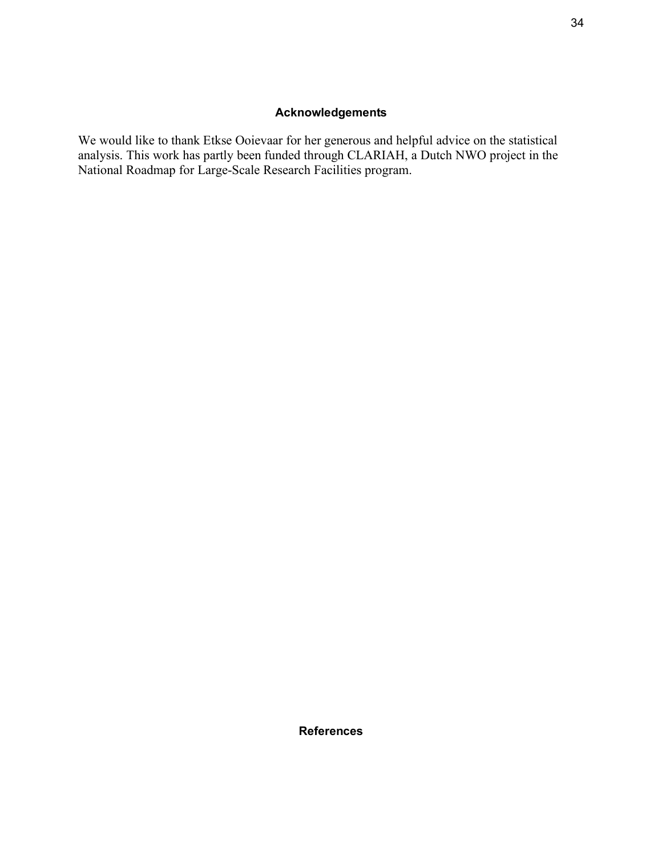# **Acknowledgements**

We would like to thank Etkse Ooievaar for her generous and helpful advice on the statistical analysis. This work has partly been funded through CLARIAH, a Dutch NWO project in the National Roadmap for Large-Scale Research Facilities program.

**References**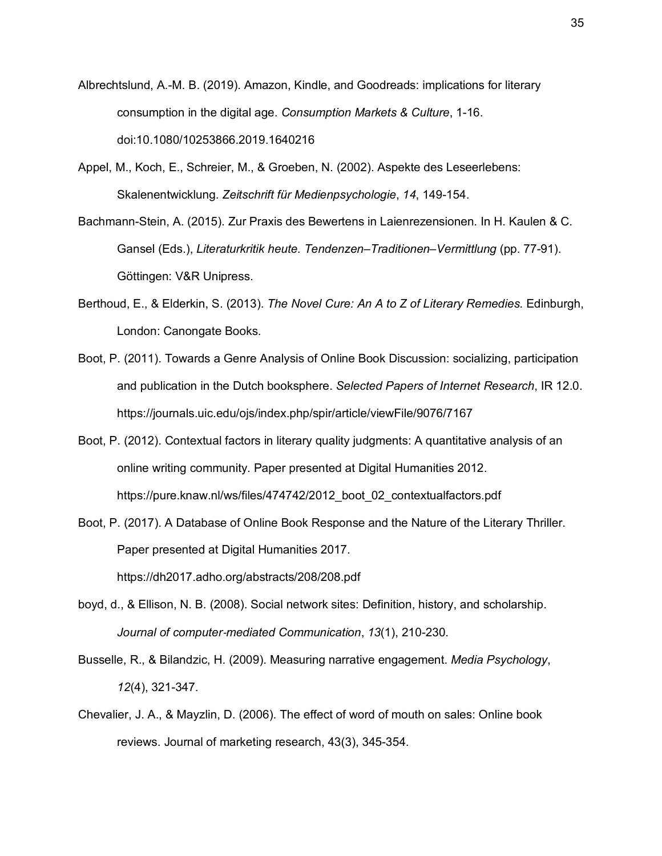- Albrechtslund, A.-M. B. (2019). Amazon, Kindle, and Goodreads: implications for literary consumption in the digital age. *Consumption Markets & Culture*, 1-16. doi:10.1080/10253866.2019.1640216
- Appel, M., Koch, E., Schreier, M., & Groeben, N. (2002). Aspekte des Leseerlebens: Skalenentwicklung. *Zeitschrift für Medienpsychologie*, *14*, 149-154.
- Bachmann-Stein, A. (2015). Zur Praxis des Bewertens in Laienrezensionen. In H. Kaulen & C. Gansel (Eds.), *Literaturkritik heute. Tendenzen–Traditionen–Vermittlung* (pp. 77-91). Göttingen: V&R Unipress.
- Berthoud, E., & Elderkin, S. (2013). *The Novel Cure: An A to Z of Literary Remedies*. Edinburgh, London: Canongate Books.
- Boot, P. (2011). Towards a Genre Analysis of Online Book Discussion: socializing, participation and publication in the Dutch booksphere. *Selected Papers of Internet Research*, IR 12.0. https://journals.uic.edu/ojs/index.php/spir/article/viewFile/9076/7167
- Boot, P. (2012). Contextual factors in literary quality judgments: A quantitative analysis of an online writing community. Paper presented at Digital Humanities 2012. https://pure.knaw.nl/ws/files/474742/2012\_boot\_02\_contextualfactors.pdf
- Boot, P. (2017). A Database of Online Book Response and the Nature of the Literary Thriller. Paper presented at Digital Humanities 2017. https://dh2017.adho.org/abstracts/208/208.pdf
- boyd, d., & Ellison, N. B. (2008). Social network sites: Definition, history, and scholarship. *Journal of computer*-*mediated Communication*, *13*(1), 210-230.
- Busselle, R., & Bilandzic, H. (2009). Measuring narrative engagement. *Media Psychology*, *12*(4), 321-347.
- Chevalier, J. A., & Mayzlin, D. (2006). The effect of word of mouth on sales: Online book reviews. Journal of marketing research, 43(3), 345-354.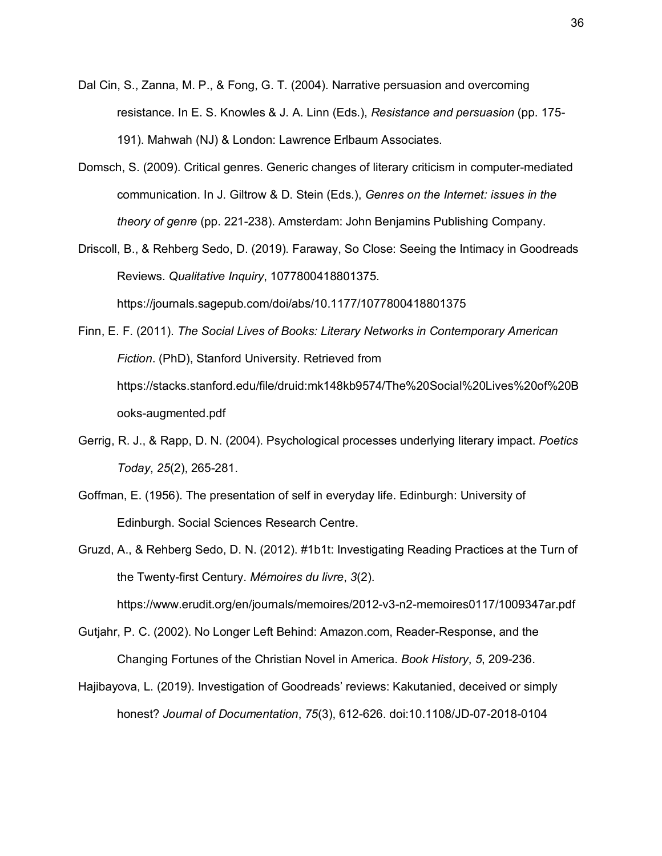- Dal Cin, S., Zanna, M. P., & Fong, G. T. (2004). Narrative persuasion and overcoming resistance. In E. S. Knowles & J. A. Linn (Eds.), *Resistance and persuasion* (pp. 175- 191). Mahwah (NJ) & London: Lawrence Erlbaum Associates.
- Domsch, S. (2009). Critical genres. Generic changes of literary criticism in computer-mediated communication. In J. Giltrow & D. Stein (Eds.), *Genres on the Internet: issues in the theory of genre* (pp. 221-238). Amsterdam: John Benjamins Publishing Company.
- Driscoll, B., & Rehberg Sedo, D. (2019). Faraway, So Close: Seeing the Intimacy in Goodreads Reviews. *Qualitative Inquiry*, 1077800418801375. https://journals.sagepub.com/doi/abs/10.1177/1077800418801375

Finn, E. F. (2011). *The Social Lives of Books: Literary Networks in Contemporary American Fiction*. (PhD), Stanford University. Retrieved from https://stacks.stanford.edu/file/druid:mk148kb9574/The%20Social%20Lives%20of%20B ooks-augmented.pdf

- Gerrig, R. J., & Rapp, D. N. (2004). Psychological processes underlying literary impact. *Poetics Today*, *25*(2), 265-281.
- Goffman, E. (1956). The presentation of self in everyday life. Edinburgh: University of Edinburgh. Social Sciences Research Centre.
- Gruzd, A., & Rehberg Sedo, D. N. (2012). #1b1t: Investigating Reading Practices at the Turn of the Twenty-first Century. *Mémoires du livre*, *3*(2).

https://www.erudit.org/en/journals/memoires/2012-v3-n2-memoires0117/1009347ar.pdf

- Gutjahr, P. C. (2002). No Longer Left Behind: Amazon.com, Reader-Response, and the Changing Fortunes of the Christian Novel in America. *Book History*, *5*, 209-236.
- Hajibayova, L. (2019). Investigation of Goodreads' reviews: Kakutanied, deceived or simply honest? *Journal of Documentation*, *75*(3), 612-626. doi:10.1108/JD-07-2018-0104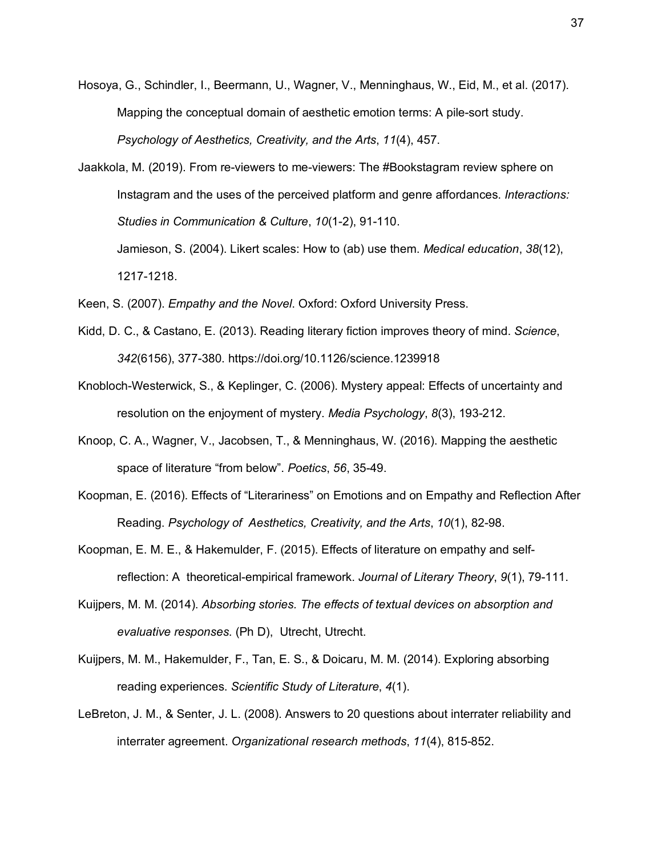- Hosoya, G., Schindler, I., Beermann, U., Wagner, V., Menninghaus, W., Eid, M., et al. (2017). Mapping the conceptual domain of aesthetic emotion terms: A pile-sort study. *Psychology of Aesthetics, Creativity, and the Arts*, *11*(4), 457.
- Jaakkola, M. (2019). From re-viewers to me-viewers: The #Bookstagram review sphere on Instagram and the uses of the perceived platform and genre affordances. *Interactions: Studies in Communication & Culture*, *10*(1-2), 91-110. Jamieson, S. (2004). Likert scales: How to (ab) use them. *Medical education*, *38*(12),

1217-1218.

- Keen, S. (2007). *Empathy and the Novel*. Oxford: Oxford University Press.
- Kidd, D. C., & Castano, E. (2013). Reading literary fiction improves theory of mind. *Science*, *342*(6156), 377-380. https://doi.org/10.1126/science.1239918
- Knobloch-Westerwick, S., & Keplinger, C. (2006). Mystery appeal: Effects of uncertainty and resolution on the enjoyment of mystery. *Media Psychology*, *8*(3), 193-212.
- Knoop, C. A., Wagner, V., Jacobsen, T., & Menninghaus, W. (2016). Mapping the aesthetic space of literature "from below". *Poetics*, *56*, 35-49.
- Koopman, E. (2016). Effects of "Literariness" on Emotions and on Empathy and Reflection After Reading. *Psychology of Aesthetics, Creativity, and the Arts*, *10*(1), 82-98.
- Koopman, E. M. E., & Hakemulder, F. (2015). Effects of literature on empathy and selfreflection: A theoretical-empirical framework. *Journal of Literary Theory*, *9*(1), 79-111.
- Kuijpers, M. M. (2014). *Absorbing stories. The effects of textual devices on absorption and evaluative responses*. (Ph D), Utrecht, Utrecht.
- Kuijpers, M. M., Hakemulder, F., Tan, E. S., & Doicaru, M. M. (2014). Exploring absorbing reading experiences. *Scientific Study of Literature*, *4*(1).
- LeBreton, J. M., & Senter, J. L. (2008). Answers to 20 questions about interrater reliability and interrater agreement. *Organizational research methods*, *11*(4), 815-852.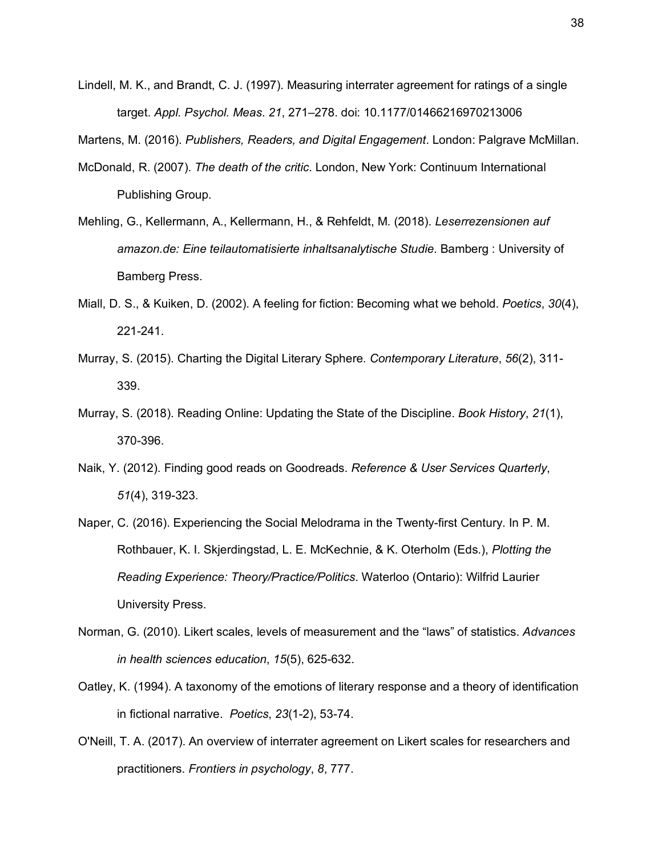Lindell, M. K., and Brandt, C. J. (1997). Measuring interrater agreement for ratings of a single target. *Appl. Psychol. Meas*. *21*, 271–278. doi: 10.1177/01466216970213006

Martens, M. (2016). *Publishers, Readers, and Digital Engagement*. London: Palgrave McMillan.

- McDonald, R. (2007). *The death of the critic*. London, New York: Continuum International Publishing Group.
- Mehling, G., Kellermann, A., Kellermann, H., & Rehfeldt, M. (2018). *Leserrezensionen auf amazon.de: Eine teilautomatisierte inhaltsanalytische Studie*. Bamberg : University of Bamberg Press.
- Miall, D. S., & Kuiken, D. (2002). A feeling for fiction: Becoming what we behold. *Poetics*, *30*(4), 221-241.
- Murray, S. (2015). Charting the Digital Literary Sphere. *Contemporary Literature*, *56*(2), 311- 339.
- Murray, S. (2018). Reading Online: Updating the State of the Discipline. *Book History*, *21*(1), 370-396.
- Naik, Y. (2012). Finding good reads on Goodreads. *Reference & User Services Quarterly*, *51*(4), 319-323.
- Naper, C. (2016). Experiencing the Social Melodrama in the Twenty-first Century. In P. M. Rothbauer, K. I. Skjerdingstad, L. E. McKechnie, & K. Oterholm (Eds.), *Plotting the Reading Experience: Theory/Practice/Politics*. Waterloo (Ontario): Wilfrid Laurier University Press.
- Norman, G. (2010). Likert scales, levels of measurement and the "laws" of statistics. *Advances in health sciences education*, *15*(5), 625-632.
- Oatley, K. (1994). A taxonomy of the emotions of literary response and a theory of identification in fictional narrative. *Poetics*, *23*(1-2), 53-74.
- O'Neill, T. A. (2017). An overview of interrater agreement on Likert scales for researchers and practitioners. *Frontiers in psychology*, *8*, 777.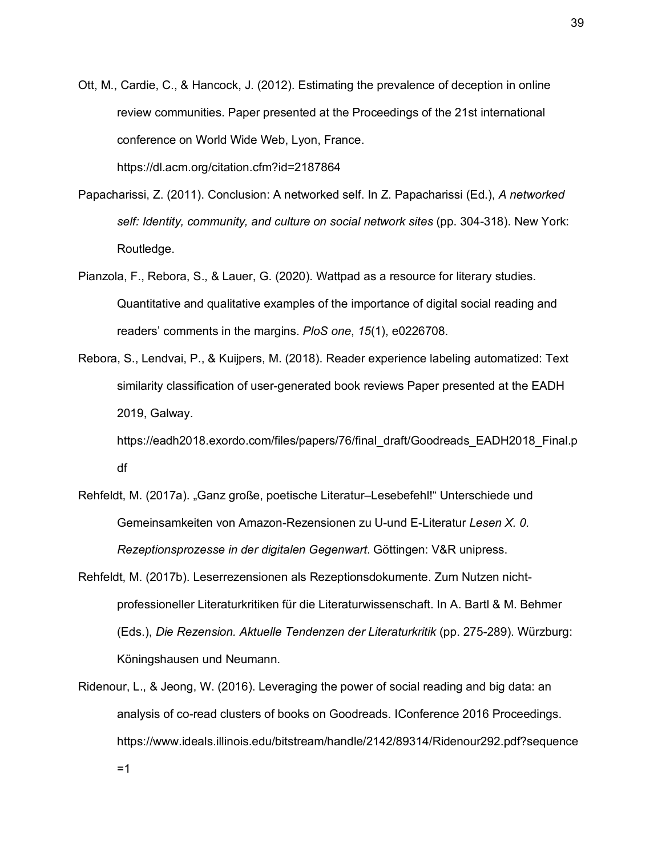Ott, M., Cardie, C., & Hancock, J. (2012). Estimating the prevalence of deception in online review communities. Paper presented at the Proceedings of the 21st international conference on World Wide Web, Lyon, France. https://dl.acm.org/citation.cfm?id=2187864

- Papacharissi, Z. (2011). Conclusion: A networked self. In Z. Papacharissi (Ed.), *A networked self: Identity, community, and culture on social network sites* (pp. 304-318). New York: Routledge.
- Pianzola, F., Rebora, S., & Lauer, G. (2020). Wattpad as a resource for literary studies. Quantitative and qualitative examples of the importance of digital social reading and readers' comments in the margins. *PloS one*, *15*(1), e0226708.
- Rebora, S., Lendvai, P., & Kuijpers, M. (2018). Reader experience labeling automatized: Text similarity classification of user-generated book reviews Paper presented at the EADH 2019, Galway.

https://eadh2018.exordo.com/files/papers/76/final\_draft/Goodreads\_EADH2018\_Final.p df

- Rehfeldt, M. (2017a). "Ganz große, poetische Literatur–Lesebefehl!" Unterschiede und Gemeinsamkeiten von Amazon-Rezensionen zu U-und E-Literatur *Lesen X. 0. Rezeptionsprozesse in der digitalen Gegenwart*. Göttingen: V&R unipress.
- Rehfeldt, M. (2017b). Leserrezensionen als Rezeptionsdokumente. Zum Nutzen nichtprofessioneller Literaturkritiken für die Literaturwissenschaft. In A. Bartl & M. Behmer (Eds.), *Die Rezension. Aktuelle Tendenzen der Literaturkritik* (pp. 275-289). Würzburg: Köningshausen und Neumann.
- Ridenour, L., & Jeong, W. (2016). Leveraging the power of social reading and big data: an analysis of co-read clusters of books on Goodreads. IConference 2016 Proceedings. https://www.ideals.illinois.edu/bitstream/handle/2142/89314/Ridenour292.pdf?sequence  $=1$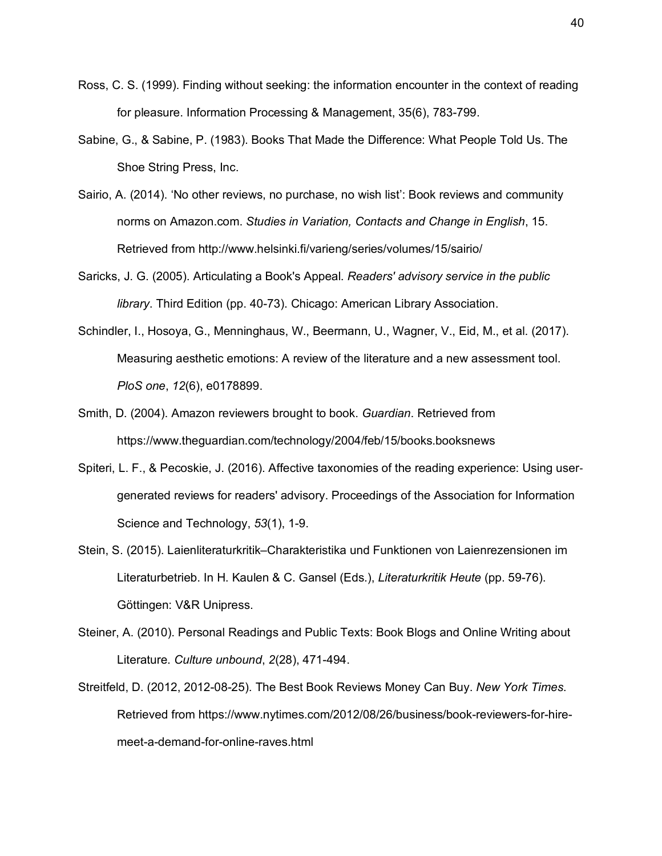- Ross, C. S. (1999). Finding without seeking: the information encounter in the context of reading for pleasure. Information Processing & Management, 35(6), 783-799.
- Sabine, G., & Sabine, P. (1983). Books That Made the Difference: What People Told Us. The Shoe String Press, Inc.
- Sairio, A. (2014). 'No other reviews, no purchase, no wish list': Book reviews and community norms on Amazon.com. *Studies in Variation, Contacts and Change in English*, 15. Retrieved from http://www.helsinki.fi/varieng/series/volumes/15/sairio/
- Saricks, J. G. (2005). Articulating a Book's Appeal. *Readers' advisory service in the public library*. Third Edition (pp. 40-73). Chicago: American Library Association.
- Schindler, I., Hosoya, G., Menninghaus, W., Beermann, U., Wagner, V., Eid, M., et al. (2017). Measuring aesthetic emotions: A review of the literature and a new assessment tool. *PloS one*, *12*(6), e0178899.
- Smith, D. (2004). Amazon reviewers brought to book. *Guardian*. Retrieved from https://www.theguardian.com/technology/2004/feb/15/books.booksnews
- Spiteri, L. F., & Pecoskie, J. (2016). Affective taxonomies of the reading experience: Using usergenerated reviews for readers' advisory. Proceedings of the Association for Information Science and Technology, *53*(1), 1-9.
- Stein, S. (2015). Laienliteraturkritik–Charakteristika und Funktionen von Laienrezensionen im Literaturbetrieb. In H. Kaulen & C. Gansel (Eds.), *Literaturkritik Heute* (pp. 59-76). Göttingen: V&R Unipress.
- Steiner, A. (2010). Personal Readings and Public Texts: Book Blogs and Online Writing about Literature. *Culture unbound*, *2*(28), 471-494.
- Streitfeld, D. (2012, 2012-08-25). The Best Book Reviews Money Can Buy. *New York Times*. Retrieved from https://www.nytimes.com/2012/08/26/business/book-reviewers-for-hiremeet-a-demand-for-online-raves.html